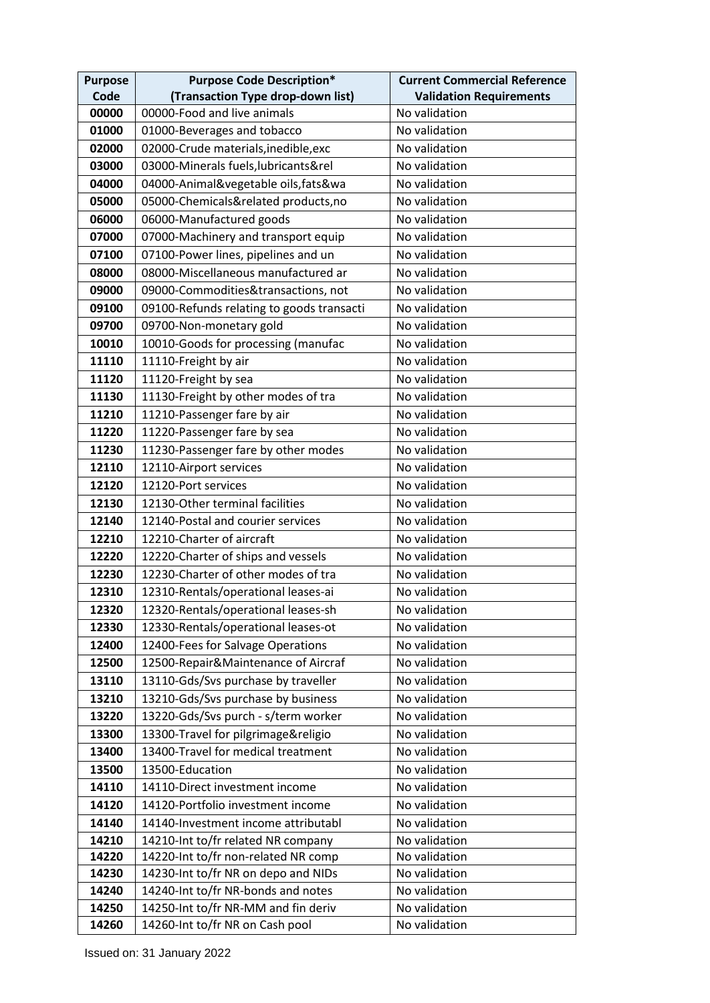| <b>Purpose</b> | <b>Purpose Code Description*</b>          | <b>Current Commercial Reference</b> |
|----------------|-------------------------------------------|-------------------------------------|
| Code           | (Transaction Type drop-down list)         | <b>Validation Requirements</b>      |
| 00000          | 00000-Food and live animals               | No validation                       |
| 01000          | 01000-Beverages and tobacco               | No validation                       |
| 02000          | 02000-Crude materials, inedible, exc      | No validation                       |
| 03000          | 03000-Minerals fuels, lubricants&rel      | No validation                       |
| 04000          | 04000-Animal&vegetable oils, fats&wa      | No validation                       |
| 05000          | 05000-Chemicals&related products,no       | No validation                       |
| 06000          | 06000-Manufactured goods                  | No validation                       |
| 07000          | 07000-Machinery and transport equip       | No validation                       |
| 07100          | 07100-Power lines, pipelines and un       | No validation                       |
| 08000          | 08000-Miscellaneous manufactured ar       | No validation                       |
| 09000          | 09000-Commodities&transactions, not       | No validation                       |
| 09100          | 09100-Refunds relating to goods transacti | No validation                       |
| 09700          | 09700-Non-monetary gold                   | No validation                       |
| 10010          | 10010-Goods for processing (manufac       | No validation                       |
| 11110          | 11110-Freight by air                      | No validation                       |
| 11120          | 11120-Freight by sea                      | No validation                       |
| 11130          | 11130-Freight by other modes of tra       | No validation                       |
| 11210          | 11210-Passenger fare by air               | No validation                       |
| 11220          | 11220-Passenger fare by sea               | No validation                       |
| 11230          | 11230-Passenger fare by other modes       | No validation                       |
| 12110          | 12110-Airport services                    | No validation                       |
| 12120          | 12120-Port services                       | No validation                       |
| 12130          | 12130-Other terminal facilities           | No validation                       |
| 12140          | 12140-Postal and courier services         | No validation                       |
| 12210          | 12210-Charter of aircraft                 | No validation                       |
| 12220          | 12220-Charter of ships and vessels        | No validation                       |
| 12230          | 12230-Charter of other modes of tra       | No validation                       |
| 12310          | 12310-Rentals/operational leases-ai       | No validation                       |
| 12320          | 12320-Rentals/operational leases-sh       | No validation                       |
| 12330          | 12330-Rentals/operational leases-ot       | No validation                       |
| 12400          | 12400-Fees for Salvage Operations         | No validation                       |
| 12500          | 12500-Repair&Maintenance of Aircraf       | No validation                       |
| 13110          | 13110-Gds/Svs purchase by traveller       | No validation                       |
| 13210          | 13210-Gds/Svs purchase by business        | No validation                       |
| 13220          | 13220-Gds/Svs purch - s/term worker       | No validation                       |
| 13300          | 13300-Travel for pilgrimage&religio       | No validation                       |
| 13400          | 13400-Travel for medical treatment        | No validation                       |
| 13500          | 13500-Education                           | No validation                       |
| 14110          | 14110-Direct investment income            | No validation                       |
| 14120          | 14120-Portfolio investment income         | No validation                       |
| 14140          | 14140-Investment income attributabl       | No validation                       |
| 14210          | 14210-Int to/fr related NR company        | No validation                       |
| 14220          | 14220-Int to/fr non-related NR comp       | No validation                       |
| 14230          | 14230-Int to/fr NR on depo and NIDs       | No validation                       |
| 14240          | 14240-Int to/fr NR-bonds and notes        | No validation                       |
| 14250          | 14250-Int to/fr NR-MM and fin deriv       | No validation                       |
| 14260          | 14260-Int to/fr NR on Cash pool           | No validation                       |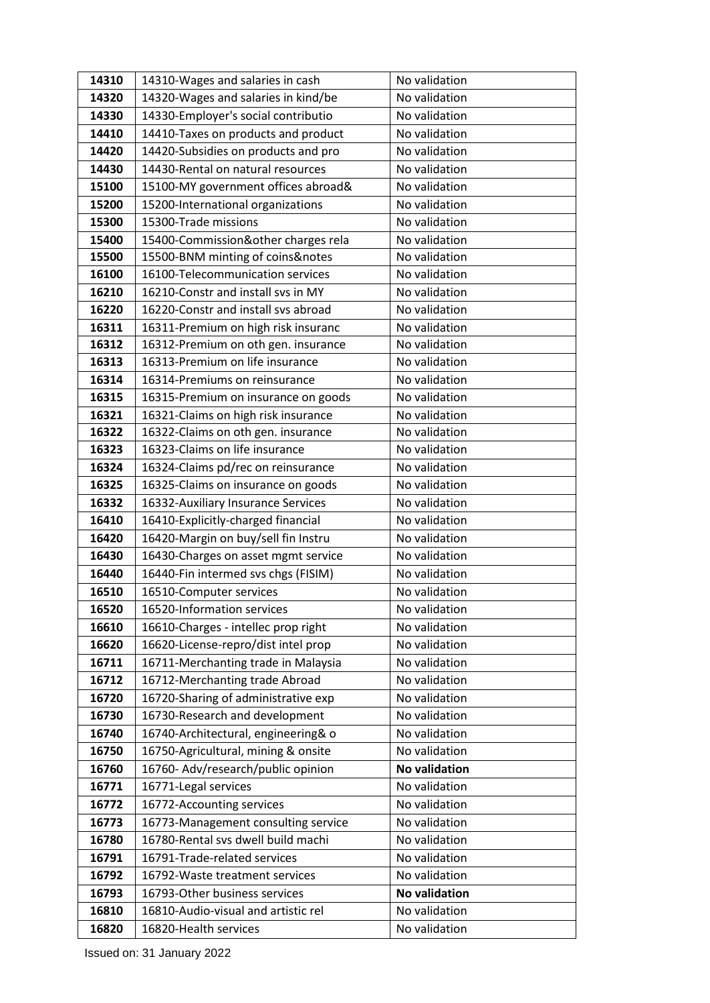|                |                                                                            | No validation        |
|----------------|----------------------------------------------------------------------------|----------------------|
| 14310<br>14320 | 14310-Wages and salaries in cash                                           | No validation        |
| 14330          | 14320-Wages and salaries in kind/be                                        | No validation        |
| 14410          | 14330-Employer's social contributio<br>14410-Taxes on products and product | No validation        |
| 14420          | 14420-Subsidies on products and pro                                        | No validation        |
| 14430          | 14430-Rental on natural resources                                          | No validation        |
| 15100          | 15100-MY government offices abroad&                                        | No validation        |
| 15200          | 15200-International organizations                                          | No validation        |
| 15300          | 15300-Trade missions                                                       | No validation        |
| 15400          | 15400-Commission&other charges rela                                        | No validation        |
| 15500          | 15500-BNM minting of coins&notes                                           | No validation        |
| 16100          | 16100-Telecommunication services                                           | No validation        |
| 16210          | 16210-Constr and install svs in MY                                         | No validation        |
| 16220          | 16220-Constr and install svs abroad                                        | No validation        |
| 16311          | 16311-Premium on high risk insuranc                                        | No validation        |
| 16312          | 16312-Premium on oth gen. insurance                                        | No validation        |
| 16313          | 16313-Premium on life insurance                                            | No validation        |
| 16314          | 16314-Premiums on reinsurance                                              | No validation        |
| 16315          | 16315-Premium on insurance on goods                                        | No validation        |
| 16321          | 16321-Claims on high risk insurance                                        | No validation        |
| 16322          | 16322-Claims on oth gen. insurance                                         | No validation        |
| 16323          | 16323-Claims on life insurance                                             | No validation        |
| 16324          | 16324-Claims pd/rec on reinsurance                                         | No validation        |
| 16325          | 16325-Claims on insurance on goods                                         | No validation        |
| 16332          | 16332-Auxiliary Insurance Services                                         | No validation        |
| 16410          | 16410-Explicitly-charged financial                                         | No validation        |
| 16420          | 16420-Margin on buy/sell fin Instru                                        | No validation        |
| 16430          | 16430-Charges on asset mgmt service                                        | No validation        |
| 16440          | 16440-Fin intermed svs chgs (FISIM)                                        | No validation        |
| 16510          | 16510-Computer services                                                    | No validation        |
| 16520          | 16520-Information services                                                 | No validation        |
| 16610          | 16610-Charges - intellec prop right                                        | No validation        |
| 16620          | 16620-License-repro/dist intel prop                                        | No validation        |
| 16711          | 16711-Merchanting trade in Malaysia                                        | No validation        |
| 16712          | 16712-Merchanting trade Abroad                                             | No validation        |
| 16720          | 16720-Sharing of administrative exp                                        | No validation        |
| 16730          | 16730-Research and development                                             | No validation        |
| 16740          | 16740-Architectural, engineering& o                                        | No validation        |
| 16750          | 16750-Agricultural, mining & onsite                                        | No validation        |
| 16760          | 16760- Adv/research/public opinion                                         | <b>No validation</b> |
| 16771          | 16771-Legal services                                                       | No validation        |
| 16772          | 16772-Accounting services                                                  | No validation        |
| 16773          | 16773-Management consulting service                                        | No validation        |
| 16780          | 16780-Rental svs dwell build machi                                         | No validation        |
| 16791          | 16791-Trade-related services                                               | No validation        |
| 16792          | 16792-Waste treatment services                                             | No validation        |
| 16793          | 16793-Other business services                                              | <b>No validation</b> |
| 16810          | 16810-Audio-visual and artistic rel                                        | No validation        |
| 16820          | 16820-Health services                                                      | No validation        |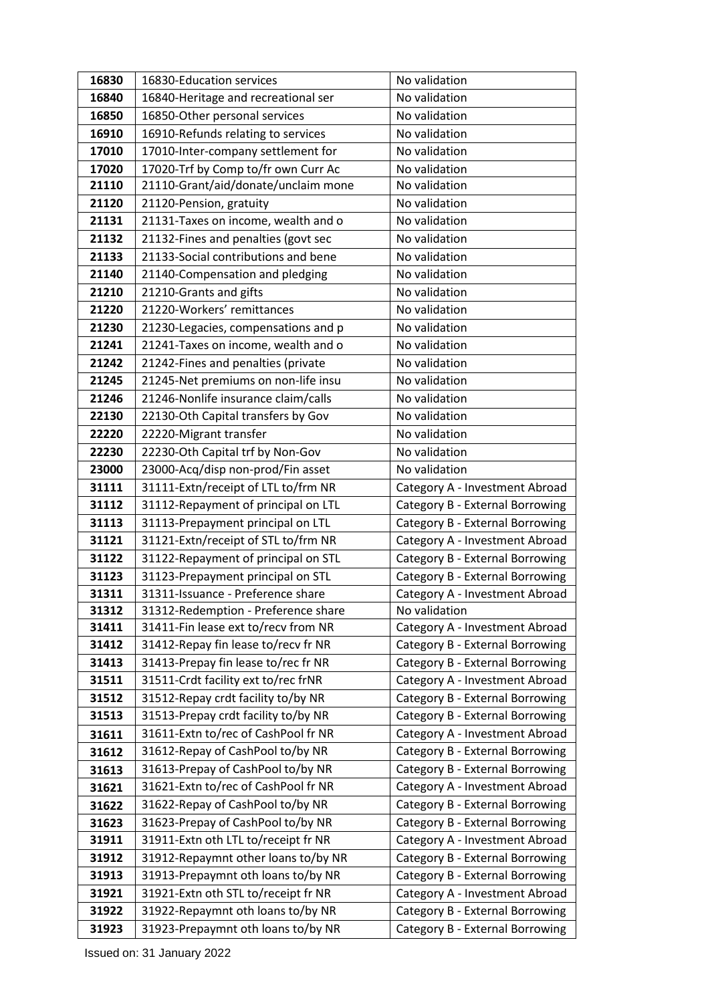| 16830          | 16830-Education services                                                   | No validation                                                     |
|----------------|----------------------------------------------------------------------------|-------------------------------------------------------------------|
| 16840          | 16840-Heritage and recreational ser                                        | No validation                                                     |
| 16850          | 16850-Other personal services                                              | No validation                                                     |
| 16910          | 16910-Refunds relating to services                                         | No validation                                                     |
| 17010          | 17010-Inter-company settlement for                                         | No validation                                                     |
| 17020          | 17020-Trf by Comp to/fr own Curr Ac                                        | No validation                                                     |
| 21110          | 21110-Grant/aid/donate/unclaim mone                                        | No validation                                                     |
| 21120          | 21120-Pension, gratuity                                                    | No validation                                                     |
| 21131          | 21131-Taxes on income, wealth and o                                        | No validation                                                     |
| 21132          | 21132-Fines and penalties (govt sec                                        | No validation                                                     |
| 21133          | 21133-Social contributions and bene                                        | No validation                                                     |
| 21140          | 21140-Compensation and pledging                                            | No validation                                                     |
| 21210          | 21210-Grants and gifts                                                     | No validation                                                     |
| 21220          | 21220-Workers' remittances                                                 | No validation                                                     |
| 21230          | 21230-Legacies, compensations and p                                        | No validation                                                     |
| 21241          | 21241-Taxes on income, wealth and o                                        | No validation                                                     |
| 21242          | 21242-Fines and penalties (private                                         | No validation                                                     |
| 21245          | 21245-Net premiums on non-life insu                                        | No validation                                                     |
| 21246          | 21246-Nonlife insurance claim/calls                                        | No validation                                                     |
| 22130          | 22130-Oth Capital transfers by Gov                                         | No validation                                                     |
| 22220          | 22220-Migrant transfer                                                     | No validation                                                     |
| 22230          | 22230-Oth Capital trf by Non-Gov                                           | No validation                                                     |
| 23000          | 23000-Acq/disp non-prod/Fin asset                                          | No validation                                                     |
| 31111          | 31111-Extn/receipt of LTL to/frm NR                                        | Category A - Investment Abroad                                    |
| 31112          | 31112-Repayment of principal on LTL                                        | Category B - External Borrowing                                   |
| 31113          | 31113-Prepayment principal on LTL                                          | Category B - External Borrowing                                   |
| 31121          | 31121-Extn/receipt of STL to/frm NR                                        | Category A - Investment Abroad                                    |
| 31122          | 31122-Repayment of principal on STL                                        | Category B - External Borrowing                                   |
| 31123          | 31123-Prepayment principal on STL                                          | Category B - External Borrowing                                   |
| 31311          | 31311-Issuance - Preference share                                          | Category A - Investment Abroad                                    |
| 31312          | 31312-Redemption - Preference share                                        | No validation                                                     |
| 31411          | 31411-Fin lease ext to/recv from NR                                        | Category A - Investment Abroad                                    |
| 31412          | 31412-Repay fin lease to/recv fr NR<br>31413-Prepay fin lease to/rec fr NR | Category B - External Borrowing                                   |
| 31413<br>31511 | 31511-Crdt facility ext to/rec frNR                                        | Category B - External Borrowing                                   |
| 31512          | 31512-Repay crdt facility to/by NR                                         | Category A - Investment Abroad<br>Category B - External Borrowing |
| 31513          | 31513-Prepay crdt facility to/by NR                                        | Category B - External Borrowing                                   |
| 31611          | 31611-Extn to/rec of CashPool fr NR                                        | Category A - Investment Abroad                                    |
| 31612          | 31612-Repay of CashPool to/by NR                                           | Category B - External Borrowing                                   |
| 31613          | 31613-Prepay of CashPool to/by NR                                          | Category B - External Borrowing                                   |
| 31621          | 31621-Extn to/rec of CashPool fr NR                                        | Category A - Investment Abroad                                    |
| 31622          | 31622-Repay of CashPool to/by NR                                           | Category B - External Borrowing                                   |
| 31623          | 31623-Prepay of CashPool to/by NR                                          | Category B - External Borrowing                                   |
| 31911          | 31911-Extn oth LTL to/receipt fr NR                                        | Category A - Investment Abroad                                    |
| 31912          | 31912-Repaymnt other loans to/by NR                                        | Category B - External Borrowing                                   |
| 31913          | 31913-Prepaymnt oth loans to/by NR                                         | Category B - External Borrowing                                   |
| 31921          | 31921-Extn oth STL to/receipt fr NR                                        | Category A - Investment Abroad                                    |
| 31922          | 31922-Repaymnt oth loans to/by NR                                          | Category B - External Borrowing                                   |
| 31923          | 31923-Prepaymnt oth loans to/by NR                                         | Category B - External Borrowing                                   |
|                |                                                                            |                                                                   |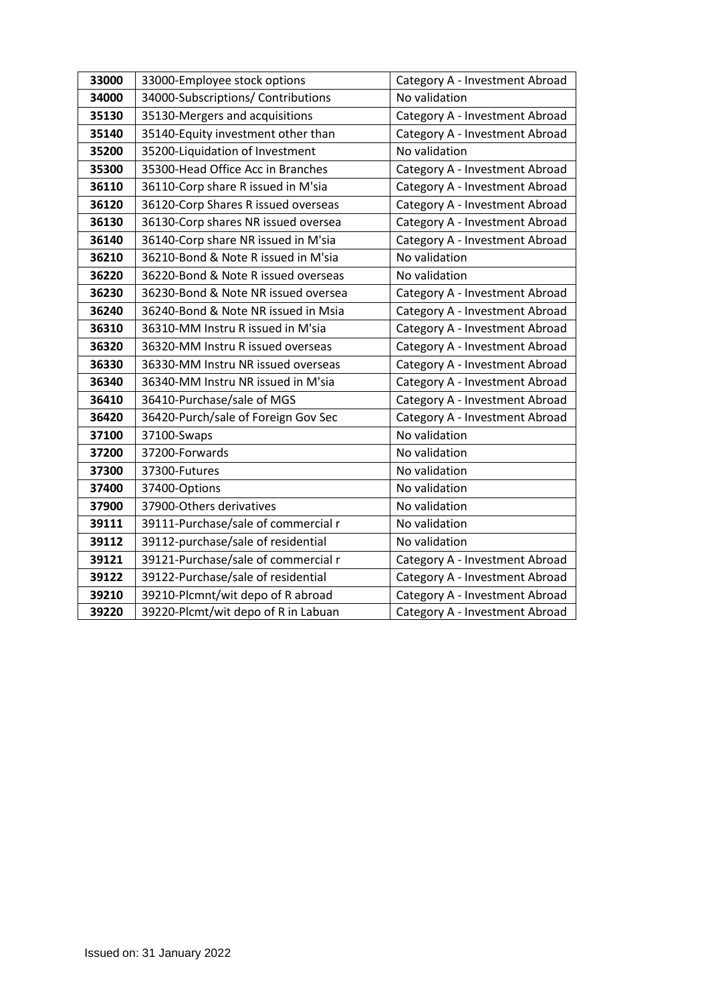| 33000 | 33000-Employee stock options        | Category A - Investment Abroad |
|-------|-------------------------------------|--------------------------------|
| 34000 | 34000-Subscriptions/ Contributions  | No validation                  |
| 35130 | 35130-Mergers and acquisitions      | Category A - Investment Abroad |
| 35140 | 35140-Equity investment other than  | Category A - Investment Abroad |
| 35200 | 35200-Liquidation of Investment     | No validation                  |
| 35300 | 35300-Head Office Acc in Branches   | Category A - Investment Abroad |
| 36110 | 36110-Corp share R issued in M'sia  | Category A - Investment Abroad |
| 36120 | 36120-Corp Shares R issued overseas | Category A - Investment Abroad |
| 36130 | 36130-Corp shares NR issued oversea | Category A - Investment Abroad |
| 36140 | 36140-Corp share NR issued in M'sia | Category A - Investment Abroad |
| 36210 | 36210-Bond & Note R issued in M'sia | No validation                  |
| 36220 | 36220-Bond & Note R issued overseas | No validation                  |
| 36230 | 36230-Bond & Note NR issued oversea | Category A - Investment Abroad |
| 36240 | 36240-Bond & Note NR issued in Msia | Category A - Investment Abroad |
| 36310 | 36310-MM Instru R issued in M'sia   | Category A - Investment Abroad |
| 36320 | 36320-MM Instru R issued overseas   | Category A - Investment Abroad |
| 36330 | 36330-MM Instru NR issued overseas  | Category A - Investment Abroad |
| 36340 | 36340-MM Instru NR issued in M'sia  | Category A - Investment Abroad |
| 36410 | 36410-Purchase/sale of MGS          | Category A - Investment Abroad |
| 36420 | 36420-Purch/sale of Foreign Gov Sec | Category A - Investment Abroad |
| 37100 | 37100-Swaps                         | No validation                  |
| 37200 | 37200-Forwards                      | No validation                  |
| 37300 | 37300-Futures                       | No validation                  |
| 37400 | 37400-Options                       | No validation                  |
| 37900 | 37900-Others derivatives            | No validation                  |
| 39111 | 39111-Purchase/sale of commercial r | No validation                  |
| 39112 | 39112-purchase/sale of residential  | No validation                  |
| 39121 | 39121-Purchase/sale of commercial r | Category A - Investment Abroad |
| 39122 | 39122-Purchase/sale of residential  | Category A - Investment Abroad |
| 39210 | 39210-Plcmnt/wit depo of R abroad   | Category A - Investment Abroad |
| 39220 | 39220-Plcmt/wit depo of R in Labuan | Category A - Investment Abroad |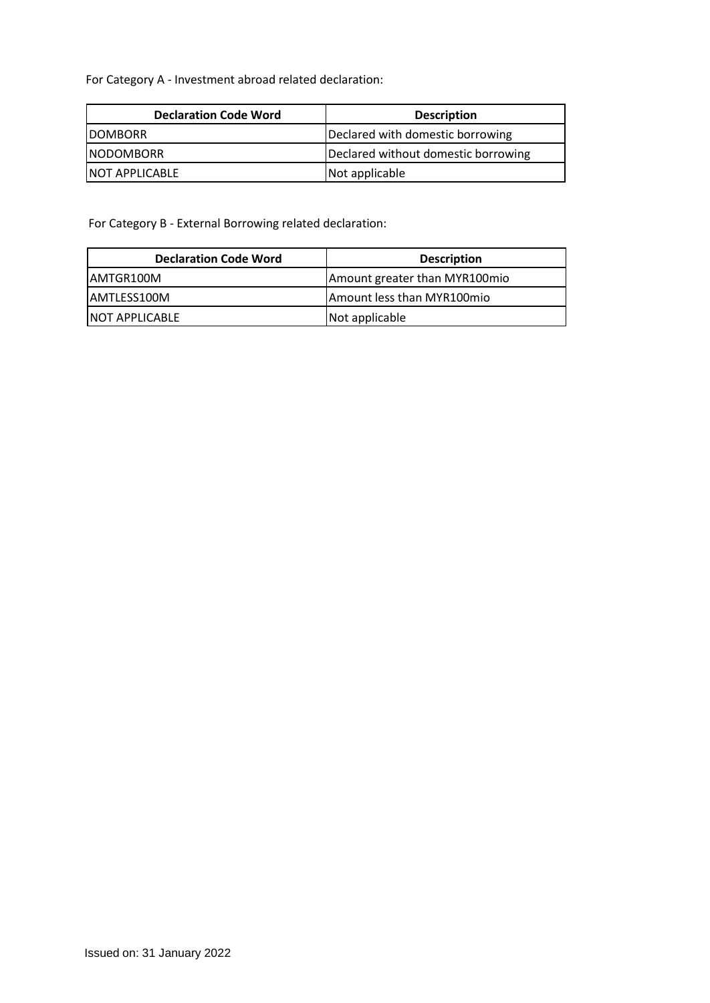For Category A - Investment abroad related declaration:

| <b>Declaration Code Word</b> | <b>Description</b>                  |
|------------------------------|-------------------------------------|
| <b>IDOMBORR</b>              | Declared with domestic borrowing    |
| <b>INODOMBORR</b>            | Declared without domestic borrowing |
| <b>INOT APPLICABLE</b>       | Not applicable                      |

For Category B - External Borrowing related declaration:

| <b>Declaration Code Word</b> | <b>Description</b>            |
|------------------------------|-------------------------------|
| IAMTGR100M                   | Amount greater than MYR100mio |
| IAMTLESS100M                 | Amount less than MYR100mio    |
| <b>INOT APPLICABLE</b>       | Not applicable                |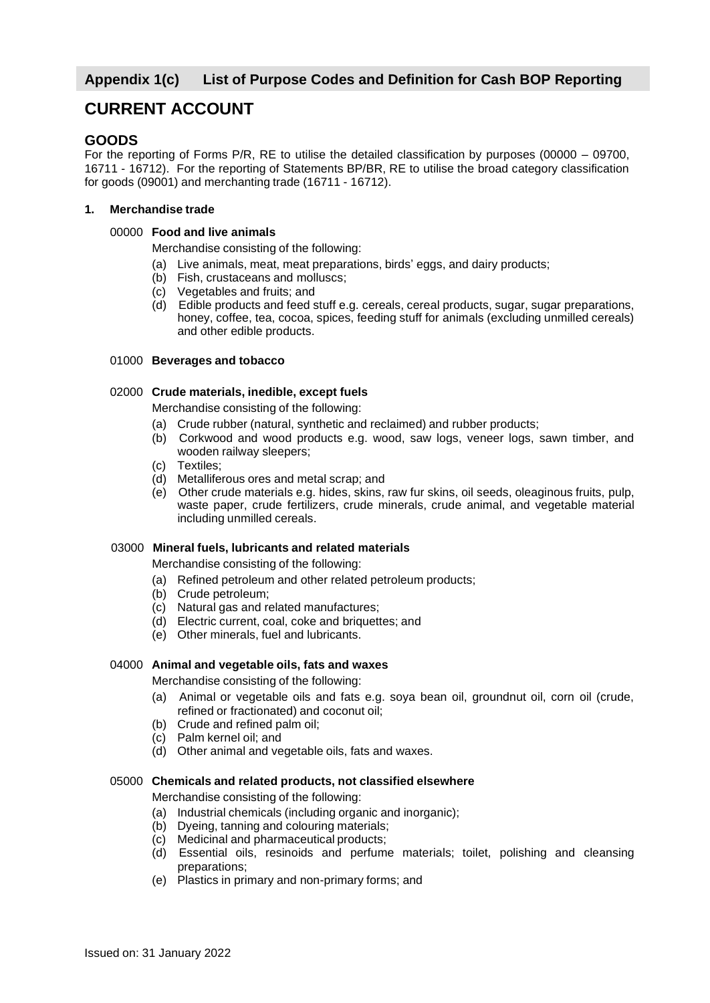# **Appendix 1(c) List of Purpose Codes and Definition for Cash BOP Reporting**

# **CURRENT ACCOUNT**

# **GOODS**

For the reporting of Forms P/R, RE to utilise the detailed classification by purposes (00000 – 09700, 16711 - 16712). For the reporting of Statements BP/BR, RE to utilise the broad category classification for goods (09001) and merchanting trade (16711 - 16712).

### **1. Merchandise trade**

## 00000 **Food and live animals**

Merchandise consisting of the following:

- (a) Live animals, meat, meat preparations, birds' eggs, and dairy products;
- (b) Fish, crustaceans and molluscs;
- (c) Vegetables and fruits; and
- (d) Edible products and feed stuff e.g. cereals, cereal products, sugar, sugar preparations, honey, coffee, tea, cocoa, spices, feeding stuff for animals (excluding unmilled cereals) and other edible products.

## 01000 **Beverages and tobacco**

## 02000 **Crude materials, inedible, except fuels**

Merchandise consisting of the following:

- (a) Crude rubber (natural, synthetic and reclaimed) and rubber products;
- (b) Corkwood and wood products e.g. wood, saw logs, veneer logs, sawn timber, and wooden railway sleepers;
- (c) Textiles;
- (d) Metalliferous ores and metal scrap; and
- (e) Other crude materials e.g. hides, skins, raw fur skins, oil seeds, oleaginous fruits, pulp, waste paper, crude fertilizers, crude minerals, crude animal, and vegetable material including unmilled cereals.

#### 03000 **Mineral fuels, lubricants and related materials**

Merchandise consisting of the following:

- (a) Refined petroleum and other related petroleum products;
- (b) Crude petroleum;
- (c) Natural gas and related manufactures;
- (d) Electric current, coal, coke and briquettes; and
- (e) Other minerals, fuel and lubricants.

## 04000 **Animal and vegetable oils, fats and waxes**

Merchandise consisting of the following:

- (a) Animal or vegetable oils and fats e.g. soya bean oil, groundnut oil, corn oil (crude, refined or fractionated) and coconut oil;
- (b) Crude and refined palm oil;
- (c) Palm kernel oil; and
- (d) Other animal and vegetable oils, fats and waxes.

#### 05000 **Chemicals and related products, not classified elsewhere**

Merchandise consisting of the following:

- (a) Industrial chemicals (including organic and inorganic);
- (b) Dyeing, tanning and colouring materials;
- (c) Medicinal and pharmaceutical products;
- (d) Essential oils, resinoids and perfume materials; toilet, polishing and cleansing preparations;
- (e) Plastics in primary and non-primary forms; and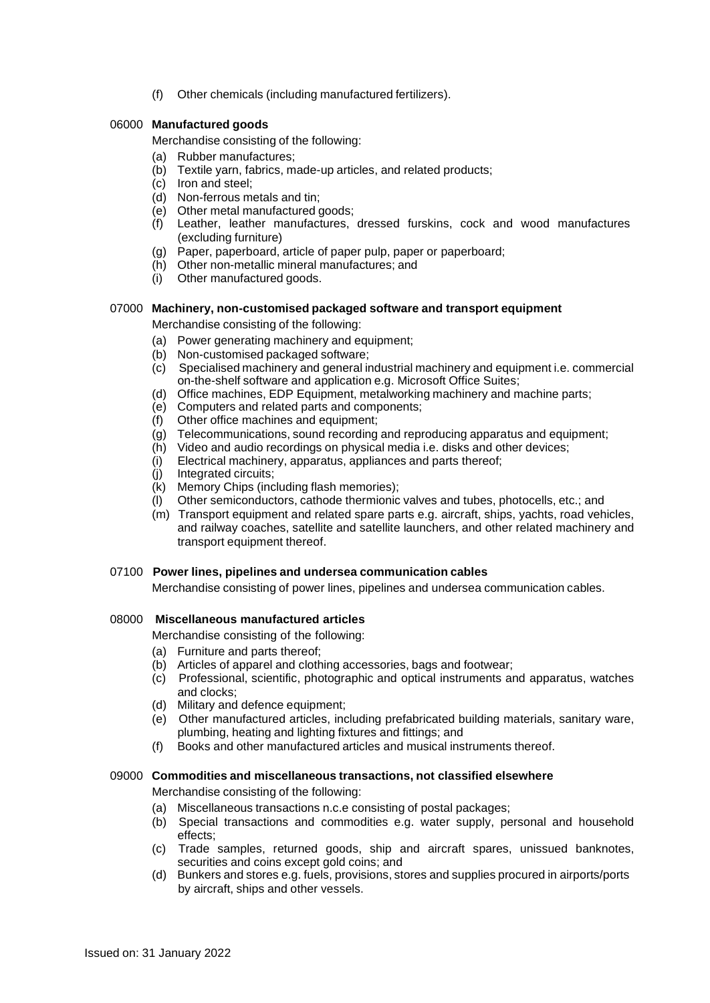(f) Other chemicals (including manufactured fertilizers).

## 06000 **Manufactured goods**

Merchandise consisting of the following:

- (a) Rubber manufactures;
- (b) Textile yarn, fabrics, made-up articles, and related products;
- (c) Iron and steel;
- (d) Non-ferrous metals and tin;
- (e) Other metal manufactured goods;
- (f) Leather, leather manufactures, dressed furskins, cock and wood manufactures (excluding furniture)
- (g) Paper, paperboard, article of paper pulp, paper or paperboard;
- (h) Other non-metallic mineral manufactures; and
- (i) Other manufactured goods.

## 07000 **Machinery, non-customised packaged software and transport equipment**

Merchandise consisting of the following:

- (a) Power generating machinery and equipment;
- (b) Non-customised packaged software;
- (c) Specialised machinery and general industrial machinery and equipment i.e. commercial on-the-shelf software and application e.g. Microsoft Office Suites;
- (d) Office machines, EDP Equipment, metalworking machinery and machine parts;
- (e) Computers and related parts and components;
- (f) Other office machines and equipment;
- $\overrightarrow{g}$ ) Telecommunications, sound recording and reproducing apparatus and equipment;
- (h) Video and audio recordings on physical media i.e. disks and other devices;
- (i) Electrical machinery, apparatus, appliances and parts thereof;
- (j) Integrated circuits;
- (k) Memory Chips (including flash memories);
- (l) Other semiconductors, cathode thermionic valves and tubes, photocells, etc.; and
- (m) Transport equipment and related spare parts e.g. aircraft, ships, yachts, road vehicles, and railway coaches, satellite and satellite launchers, and other related machinery and transport equipment thereof.

#### 07100 **Power lines, pipelines and undersea communication cables**

Merchandise consisting of power lines, pipelines and undersea communication cables.

## 08000 **Miscellaneous manufactured articles**

Merchandise consisting of the following:

- (a) Furniture and parts thereof;
- (b) Articles of apparel and clothing accessories, bags and footwear;
- (c) Professional, scientific, photographic and optical instruments and apparatus, watches and clocks;
- (d) Military and defence equipment;
- (e) Other manufactured articles, including prefabricated building materials, sanitary ware, plumbing, heating and lighting fixtures and fittings; and
- (f) Books and other manufactured articles and musical instruments thereof.

#### 09000 **Commodities and miscellaneous transactions, not classified elsewhere**

Merchandise consisting of the following:

- (a) Miscellaneous transactions n.c.e consisting of postal packages;
- (b) Special transactions and commodities e.g. water supply, personal and household effects;
- (c) Trade samples, returned goods, ship and aircraft spares, unissued banknotes, securities and coins except gold coins; and
- (d) Bunkers and stores e.g. fuels, provisions, stores and supplies procured in airports/ports by aircraft, ships and other vessels.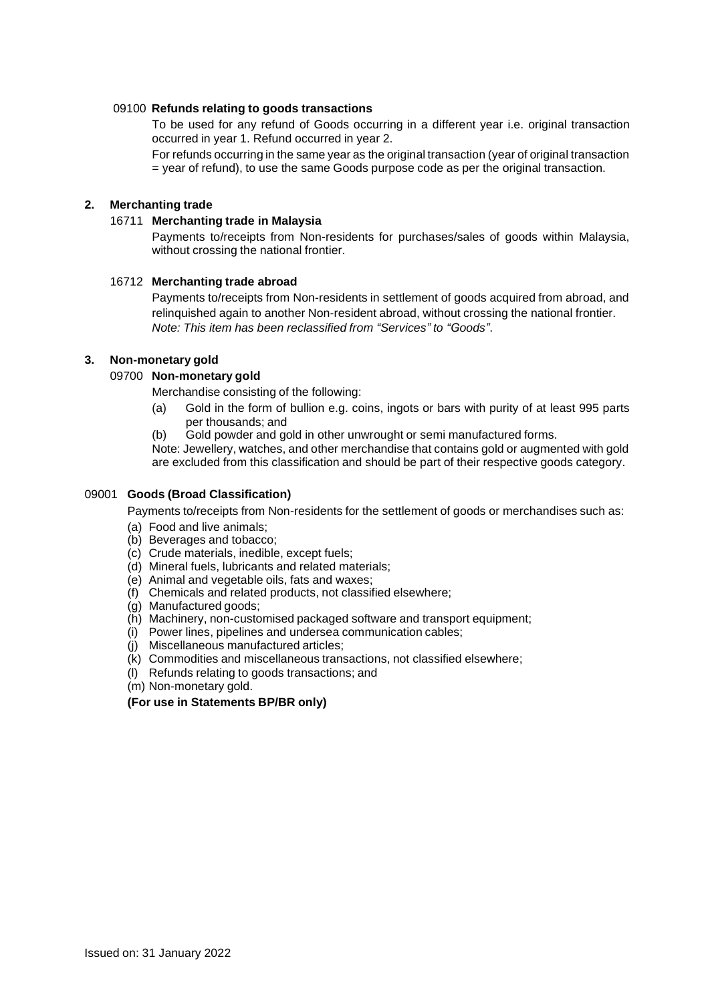## 09100 **Refunds relating to goods transactions**

To be used for any refund of Goods occurring in a different year i.e. original transaction occurred in year 1. Refund occurred in year 2.

For refunds occurring in the same year as the original transaction (year of original transaction = year of refund), to use the same Goods purpose code as per the original transaction.

## **2. Merchanting trade**

### 16711 **Merchanting trade in Malaysia**

Payments to/receipts from Non-residents for purchases/sales of goods within Malaysia, without crossing the national frontier.

#### 16712 **Merchanting trade abroad**

Payments to/receipts from Non-residents in settlement of goods acquired from abroad, and relinquished again to another Non-resident abroad, without crossing the national frontier. *Note: This item has been reclassified from "Services" to "Goods"*.

### **3. Non-monetary gold**

## 09700 **Non-monetary gold**

- Merchandise consisting of the following:
- (a) Gold in the form of bullion e.g. coins, ingots or bars with purity of at least 995 parts per thousands; and
- (b) Gold powder and gold in other unwrought or semi manufactured forms.

Note: Jewellery, watches, and other merchandise that contains gold or augmented with gold are excluded from this classification and should be part of their respective goods category.

#### 09001 **Goods (Broad Classification)**

Payments to/receipts from Non-residents for the settlement of goods or merchandises such as:

- (a) Food and live animals;
- (b) Beverages and tobacco;
- (c) Crude materials, inedible, except fuels;
- (d) Mineral fuels, lubricants and related materials;
- (e) Animal and vegetable oils, fats and waxes;
- (f) Chemicals and related products, not classified elsewhere;
- (g) Manufactured goods;
- (h) Machinery, non-customised packaged software and transport equipment;
- (i) Power lines, pipelines and undersea communication cables;
- (j) Miscellaneous manufactured articles;
- (k) Commodities and miscellaneous transactions, not classified elsewhere;
- (l) Refunds relating to goods transactions; and
- (m) Non-monetary gold.

## **(For use in Statements BP/BR only)**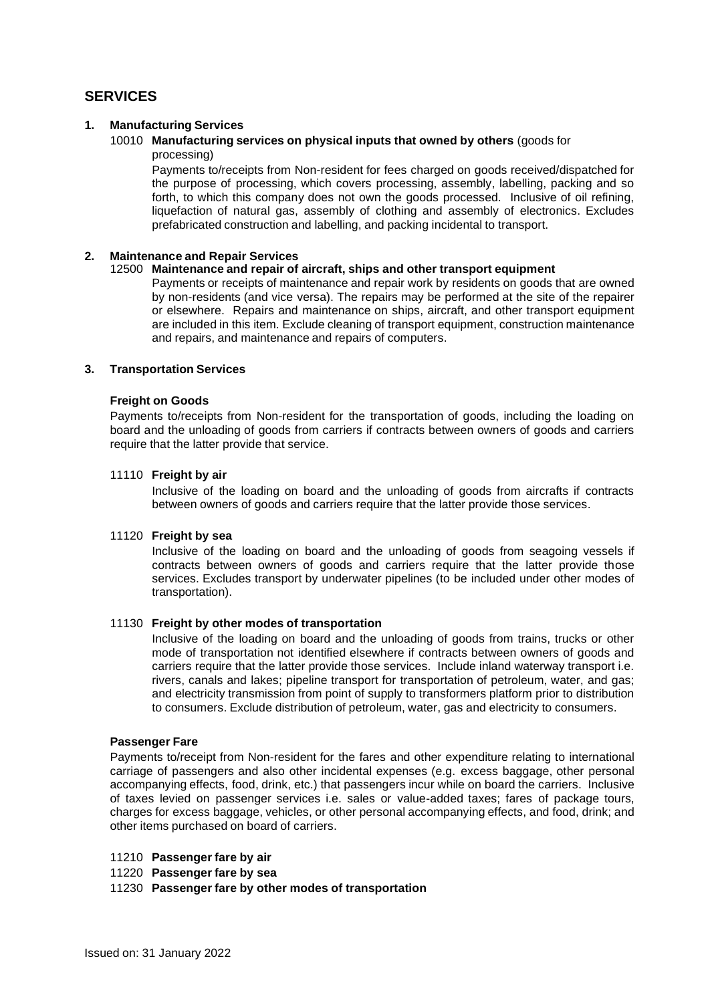# **SERVICES**

## **1. Manufacturing Services**

#### 10010 **Manufacturing services on physical inputs that owned by others** (goods for processing)

Payments to/receipts from Non-resident for fees charged on goods received/dispatched for the purpose of processing, which covers processing, assembly, labelling, packing and so forth, to which this company does not own the goods processed. Inclusive of oil refining, liquefaction of natural gas, assembly of clothing and assembly of electronics. Excludes prefabricated construction and labelling, and packing incidental to transport.

#### **2. Maintenance and Repair Services**

#### 12500 **Maintenance and repair of aircraft, ships and other transport equipment**

Payments or receipts of maintenance and repair work by residents on goods that are owned by non-residents (and vice versa). The repairs may be performed at the site of the repairer or elsewhere. Repairs and maintenance on ships, aircraft, and other transport equipment are included in this item. Exclude cleaning of transport equipment, construction maintenance and repairs, and maintenance and repairs of computers.

#### **3. Transportation Services**

#### **Freight on Goods**

Payments to/receipts from Non-resident for the transportation of goods, including the loading on board and the unloading of goods from carriers if contracts between owners of goods and carriers require that the latter provide that service.

#### 11110 **Freight by air**

Inclusive of the loading on board and the unloading of goods from aircrafts if contracts between owners of goods and carriers require that the latter provide those services.

#### 11120 **Freight by sea**

Inclusive of the loading on board and the unloading of goods from seagoing vessels if contracts between owners of goods and carriers require that the latter provide those services. Excludes transport by underwater pipelines (to be included under other modes of transportation).

#### 11130 **Freight by other modes of transportation**

Inclusive of the loading on board and the unloading of goods from trains, trucks or other mode of transportation not identified elsewhere if contracts between owners of goods and carriers require that the latter provide those services. Include inland waterway transport i.e. rivers, canals and lakes; pipeline transport for transportation of petroleum, water, and gas; and electricity transmission from point of supply to transformers platform prior to distribution to consumers. Exclude distribution of petroleum, water, gas and electricity to consumers.

#### **Passenger Fare**

Payments to/receipt from Non-resident for the fares and other expenditure relating to international carriage of passengers and also other incidental expenses (e.g. excess baggage, other personal accompanying effects, food, drink, etc.) that passengers incur while on board the carriers. Inclusive of taxes levied on passenger services i.e. sales or value-added taxes; fares of package tours, charges for excess baggage, vehicles, or other personal accompanying effects, and food, drink; and other items purchased on board of carriers.

- 11210 **Passenger fare by air**
- 11220 **Passenger fare by sea**

11230 **Passenger fare by other modes of transportation**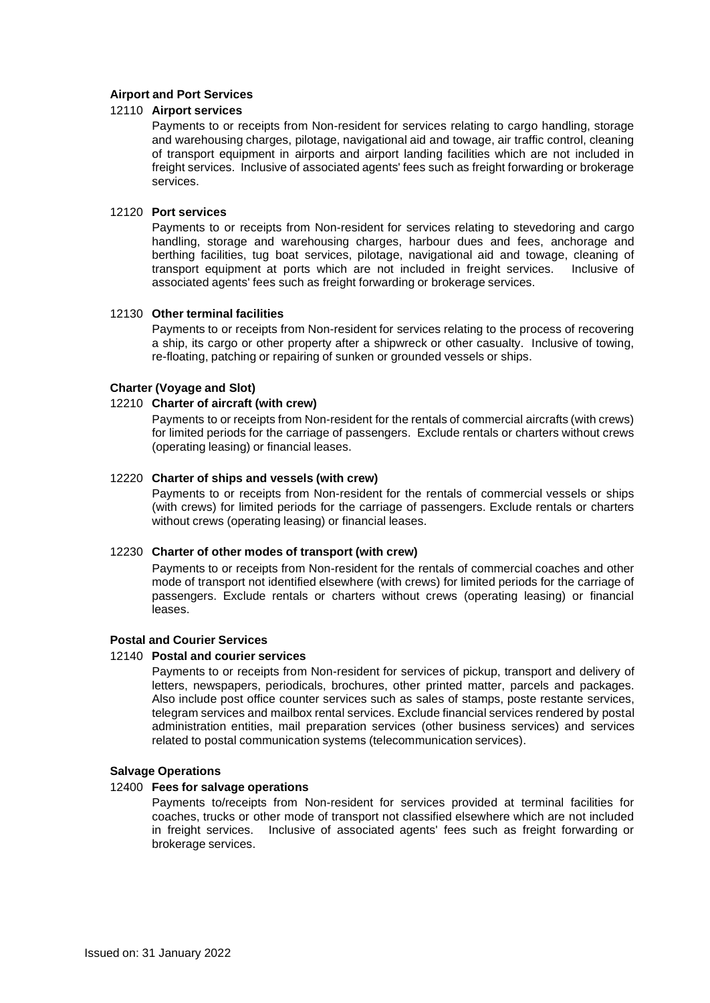## **Airport and Port Services**

#### 12110 **Airport services**

Payments to or receipts from Non-resident for services relating to cargo handling, storage and warehousing charges, pilotage, navigational aid and towage, air traffic control, cleaning of transport equipment in airports and airport landing facilities which are not included in freight services. Inclusive of associated agents' fees such as freight forwarding or brokerage services.

#### 12120 **Port services**

Payments to or receipts from Non-resident for services relating to stevedoring and cargo handling, storage and warehousing charges, harbour dues and fees, anchorage and berthing facilities, tug boat services, pilotage, navigational aid and towage, cleaning of transport equipment at ports which are not included in freight services. Inclusive of associated agents' fees such as freight forwarding or brokerage services.

#### 12130 **Other terminal facilities**

Payments to or receipts from Non-resident for services relating to the process of recovering a ship, its cargo or other property after a shipwreck or other casualty. Inclusive of towing, re-floating, patching or repairing of sunken or grounded vessels or ships.

#### **Charter (Voyage and Slot)**

#### 12210 **Charter of aircraft (with crew)**

Payments to or receipts from Non-resident for the rentals of commercial aircrafts (with crews) for limited periods for the carriage of passengers. Exclude rentals or charters without crews (operating leasing) or financial leases.

#### 12220 **Charter of ships and vessels (with crew)**

Payments to or receipts from Non-resident for the rentals of commercial vessels or ships (with crews) for limited periods for the carriage of passengers. Exclude rentals or charters without crews (operating leasing) or financial leases.

#### 12230 **Charter of other modes of transport (with crew)**

Payments to or receipts from Non-resident for the rentals of commercial coaches and other mode of transport not identified elsewhere (with crews) for limited periods for the carriage of passengers. Exclude rentals or charters without crews (operating leasing) or financial leases.

#### **Postal and Courier Services**

#### 12140 **Postal and courier services**

Payments to or receipts from Non-resident for services of pickup, transport and delivery of letters, newspapers, periodicals, brochures, other printed matter, parcels and packages. Also include post office counter services such as sales of stamps, poste restante services, telegram services and mailbox rental services. Exclude financial services rendered by postal administration entities, mail preparation services (other business services) and services related to postal communication systems (telecommunication services).

#### **Salvage Operations**

## 12400 **Fees for salvage operations**

Payments to/receipts from Non-resident for services provided at terminal facilities for coaches, trucks or other mode of transport not classified elsewhere which are not included in freight services. Inclusive of associated agents' fees such as freight forwarding or brokerage services.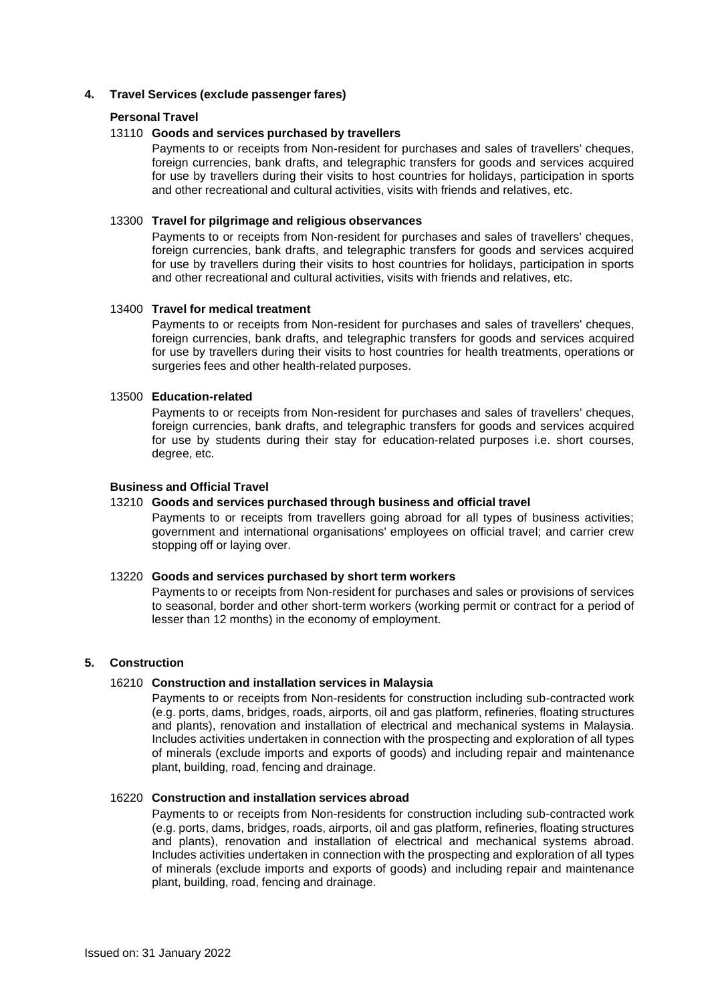## **4. Travel Services (exclude passenger fares)**

#### **Personal Travel**

#### 13110 **Goods and services purchased by travellers**

Payments to or receipts from Non-resident for purchases and sales of travellers' cheques, foreign currencies, bank drafts, and telegraphic transfers for goods and services acquired for use by travellers during their visits to host countries for holidays, participation in sports and other recreational and cultural activities, visits with friends and relatives, etc.

#### 13300 **Travel for pilgrimage and religious observances**

Payments to or receipts from Non-resident for purchases and sales of travellers' cheques, foreign currencies, bank drafts, and telegraphic transfers for goods and services acquired for use by travellers during their visits to host countries for holidays, participation in sports and other recreational and cultural activities, visits with friends and relatives, etc.

## 13400 **Travel for medical treatment**

Payments to or receipts from Non-resident for purchases and sales of travellers' cheques, foreign currencies, bank drafts, and telegraphic transfers for goods and services acquired for use by travellers during their visits to host countries for health treatments, operations or surgeries fees and other health-related purposes.

## 13500 **Education-related**

Payments to or receipts from Non-resident for purchases and sales of travellers' cheques, foreign currencies, bank drafts, and telegraphic transfers for goods and services acquired for use by students during their stay for education-related purposes i.e. short courses, degree, etc.

#### **Business and Official Travel**

## 13210 **Goods and services purchased through business and official travel**

Payments to or receipts from travellers going abroad for all types of business activities; government and international organisations' employees on official travel; and carrier crew stopping off or laying over.

#### 13220 **Goods and services purchased by short term workers**

Payments to or receipts from Non-resident for purchases and sales or provisions of services to seasonal, border and other short-term workers (working permit or contract for a period of lesser than 12 months) in the economy of employment.

#### **5. Construction**

#### 16210 **Construction and installation services in Malaysia**

Payments to or receipts from Non-residents for construction including sub-contracted work (e.g. ports, dams, bridges, roads, airports, oil and gas platform, refineries, floating structures and plants), renovation and installation of electrical and mechanical systems in Malaysia. Includes activities undertaken in connection with the prospecting and exploration of all types of minerals (exclude imports and exports of goods) and including repair and maintenance plant, building, road, fencing and drainage.

#### 16220 **Construction and installation services abroad**

Payments to or receipts from Non-residents for construction including sub-contracted work (e.g. ports, dams, bridges, roads, airports, oil and gas platform, refineries, floating structures and plants), renovation and installation of electrical and mechanical systems abroad. Includes activities undertaken in connection with the prospecting and exploration of all types of minerals (exclude imports and exports of goods) and including repair and maintenance plant, building, road, fencing and drainage.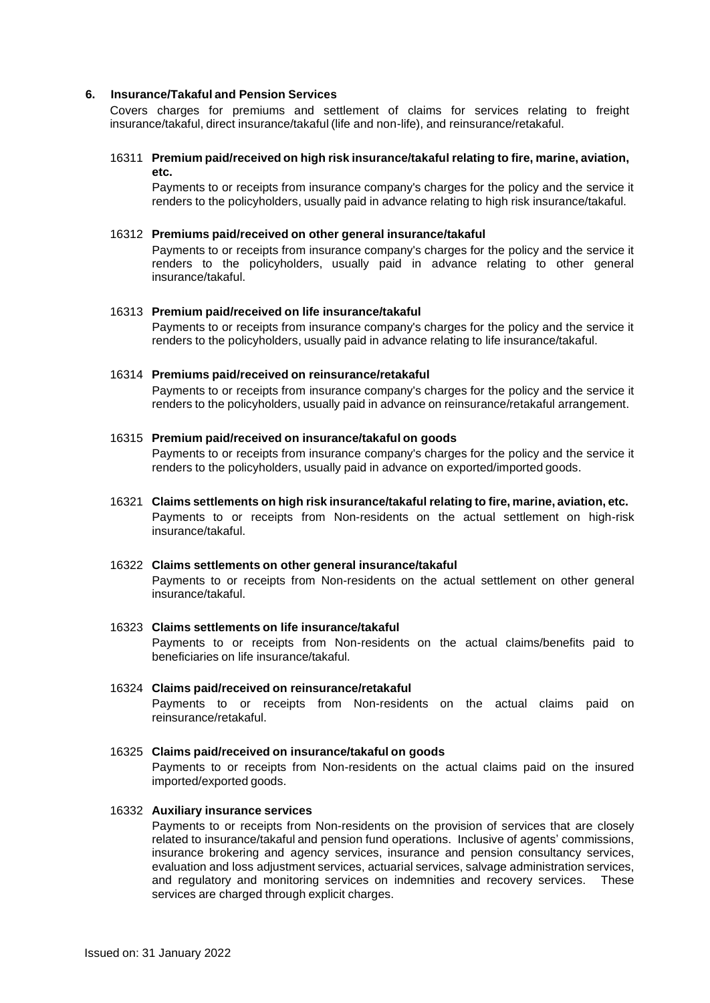#### **6. Insurance/Takaful and Pension Services**

Covers charges for premiums and settlement of claims for services relating to freight insurance/takaful, direct insurance/takaful (life and non-life), and reinsurance/retakaful.

#### 16311 **Premium paid/received on high risk insurance/takaful relating to fire, marine, aviation, etc.**

Payments to or receipts from insurance company's charges for the policy and the service it renders to the policyholders, usually paid in advance relating to high risk insurance/takaful.

#### 16312 **Premiums paid/received on other general insurance/takaful**

Payments to or receipts from insurance company's charges for the policy and the service it renders to the policyholders, usually paid in advance relating to other general insurance/takaful.

#### 16313 **Premium paid/received on life insurance/takaful**

Payments to or receipts from insurance company's charges for the policy and the service it renders to the policyholders, usually paid in advance relating to life insurance/takaful.

#### 16314 **Premiums paid/received on reinsurance/retakaful**

Payments to or receipts from insurance company's charges for the policy and the service it renders to the policyholders, usually paid in advance on reinsurance/retakaful arrangement.

#### 16315 **Premium paid/received on insurance/takaful on goods**

Payments to or receipts from insurance company's charges for the policy and the service it renders to the policyholders, usually paid in advance on exported/imported goods.

## 16321 **Claims settlements on high risk insurance/takaful relating to fire, marine, aviation, etc.** Payments to or receipts from Non-residents on the actual settlement on high-risk insurance/takaful.

#### 16322 **Claims settlements on other general insurance/takaful** Payments to or receipts from Non-residents on the actual settlement on other general

insurance/takaful.

## 16323 **Claims settlements on life insurance/takaful** Payments to or receipts from Non-residents on the actual claims/benefits paid to beneficiaries on life insurance/takaful.

16324 **Claims paid/received on reinsurance/retakaful** Payments to or receipts from Non-residents on the actual claims paid on reinsurance/retakaful.

## 16325 **Claims paid/received on insurance/takaful on goods** Payments to or receipts from Non-residents on the actual claims paid on the insured imported/exported goods.

#### 16332 **Auxiliary insurance services**

Payments to or receipts from Non-residents on the provision of services that are closely related to insurance/takaful and pension fund operations. Inclusive of agents' commissions, insurance brokering and agency services, insurance and pension consultancy services, evaluation and loss adjustment services, actuarial services, salvage administration services, and regulatory and monitoring services on indemnities and recovery services. These services are charged through explicit charges.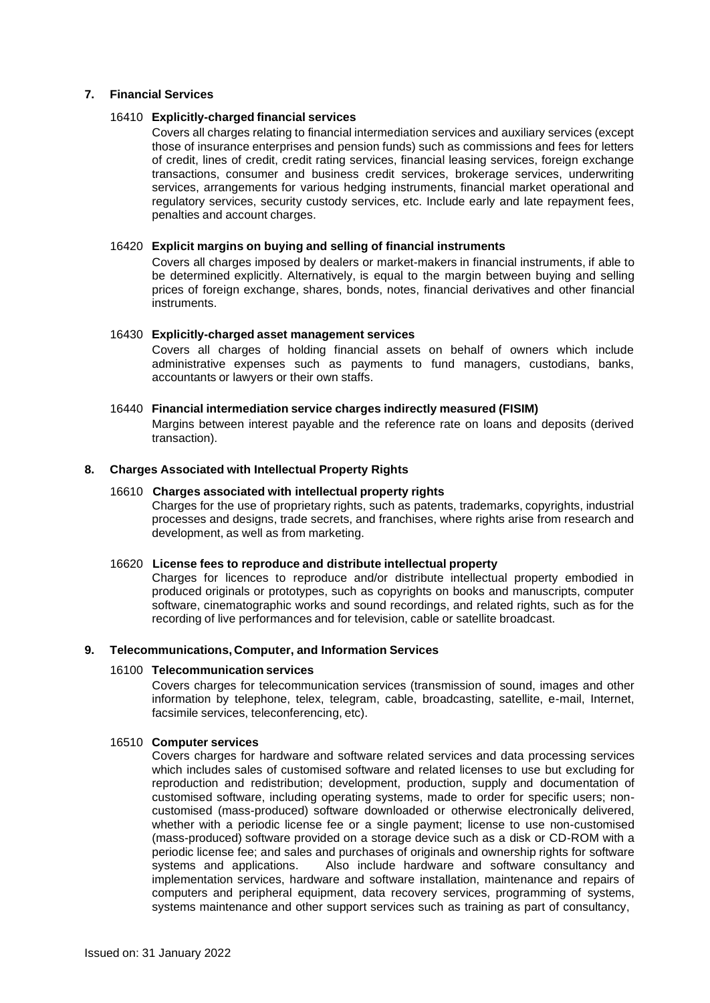### **7. Financial Services**

#### 16410 **Explicitly-charged financial services**

Covers all charges relating to financial intermediation services and auxiliary services (except those of insurance enterprises and pension funds) such as commissions and fees for letters of credit, lines of credit, credit rating services, financial leasing services, foreign exchange transactions, consumer and business credit services, brokerage services, underwriting services, arrangements for various hedging instruments, financial market operational and regulatory services, security custody services, etc. Include early and late repayment fees, penalties and account charges.

### 16420 **Explicit margins on buying and selling of financial instruments**

Covers all charges imposed by dealers or market-makers in financial instruments, if able to be determined explicitly. Alternatively, is equal to the margin between buying and selling prices of foreign exchange, shares, bonds, notes, financial derivatives and other financial instruments.

#### 16430 **Explicitly-charged asset management services**

Covers all charges of holding financial assets on behalf of owners which include administrative expenses such as payments to fund managers, custodians, banks, accountants or lawyers or their own staffs.

## 16440 **Financial intermediation service charges indirectly measured (FISIM)**

Margins between interest payable and the reference rate on loans and deposits (derived transaction).

## **8. Charges Associated with Intellectual Property Rights**

## 16610 **Charges associated with intellectual property rights**

Charges for the use of proprietary rights, such as patents, trademarks, copyrights, industrial processes and designs, trade secrets, and franchises, where rights arise from research and development, as well as from marketing.

#### 16620 **License fees to reproduce and distribute intellectual property**

Charges for licences to reproduce and/or distribute intellectual property embodied in produced originals or prototypes, such as copyrights on books and manuscripts, computer software, cinematographic works and sound recordings, and related rights, such as for the recording of live performances and for television, cable or satellite broadcast.

#### **9. Telecommunications, Computer, and Information Services**

#### 16100 **Telecommunication services**

Covers charges for telecommunication services (transmission of sound, images and other information by telephone, telex, telegram, cable, broadcasting, satellite, e-mail, Internet, facsimile services, teleconferencing, etc).

#### 16510 **Computer services**

Covers charges for hardware and software related services and data processing services which includes sales of customised software and related licenses to use but excluding for reproduction and redistribution; development, production, supply and documentation of customised software, including operating systems, made to order for specific users; noncustomised (mass-produced) software downloaded or otherwise electronically delivered, whether with a periodic license fee or a single payment; license to use non-customised (mass-produced) software provided on a storage device such as a disk or CD-ROM with a periodic license fee; and sales and purchases of originals and ownership rights for software systems and applications. Also include hardware and software consultancy and implementation services, hardware and software installation, maintenance and repairs of computers and peripheral equipment, data recovery services, programming of systems, systems maintenance and other support services such as training as part of consultancy,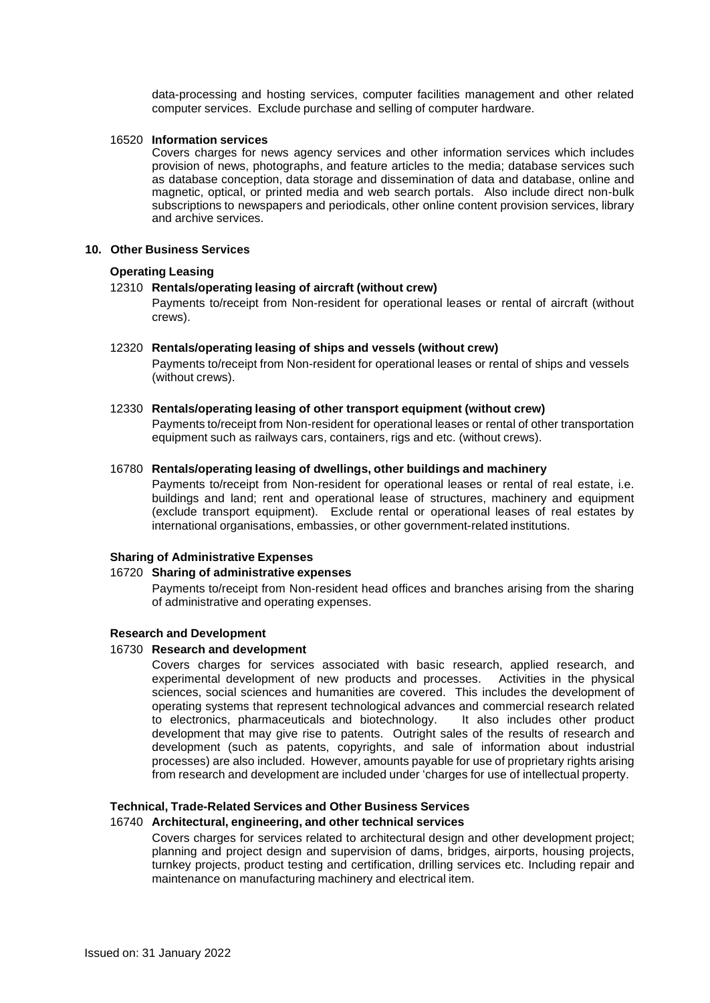data-processing and hosting services, computer facilities management and other related computer services. Exclude purchase and selling of computer hardware.

#### 16520 **Information services**

Covers charges for news agency services and other information services which includes provision of news, photographs, and feature articles to the media; database services such as database conception, data storage and dissemination of data and database, online and magnetic, optical, or printed media and web search portals. Also include direct non-bulk subscriptions to newspapers and periodicals, other online content provision services, library and archive services.

#### **10. Other Business Services**

## **Operating Leasing**

#### 12310 **Rentals/operating leasing of aircraft (without crew)**

Payments to/receipt from Non-resident for operational leases or rental of aircraft (without crews).

#### 12320 **Rentals/operating leasing of ships and vessels (without crew)**

Payments to/receipt from Non-resident for operational leases or rental of ships and vessels (without crews).

#### 12330 **Rentals/operating leasing of other transport equipment (without crew)**

Payments to/receipt from Non-resident for operational leases or rental of other transportation equipment such as railways cars, containers, rigs and etc. (without crews).

#### 16780 **Rentals/operating leasing of dwellings, other buildings and machinery**

Payments to/receipt from Non-resident for operational leases or rental of real estate, i.e. buildings and land; rent and operational lease of structures, machinery and equipment (exclude transport equipment). Exclude rental or operational leases of real estates by international organisations, embassies, or other government-related institutions.

#### **Sharing of Administrative Expenses**

#### 16720 **Sharing of administrative expenses**

Payments to/receipt from Non-resident head offices and branches arising from the sharing of administrative and operating expenses.

#### **Research and Development**

## 16730 **Research and development**

Covers charges for services associated with basic research, applied research, and experimental development of new products and processes. Activities in the physical sciences, social sciences and humanities are covered. This includes the development of operating systems that represent technological advances and commercial research related to electronics, pharmaceuticals and biotechnology. It also includes other product development that may give rise to patents. Outright sales of the results of research and development (such as patents, copyrights, and sale of information about industrial processes) are also included. However, amounts payable for use of proprietary rights arising from research and development are included under 'charges for use of intellectual property.

## **Technical, Trade-Related Services and Other Business Services**

#### 16740 **Architectural, engineering, and other technical services**

Covers charges for services related to architectural design and other development project; planning and project design and supervision of dams, bridges, airports, housing projects, turnkey projects, product testing and certification, drilling services etc. Including repair and maintenance on manufacturing machinery and electrical item.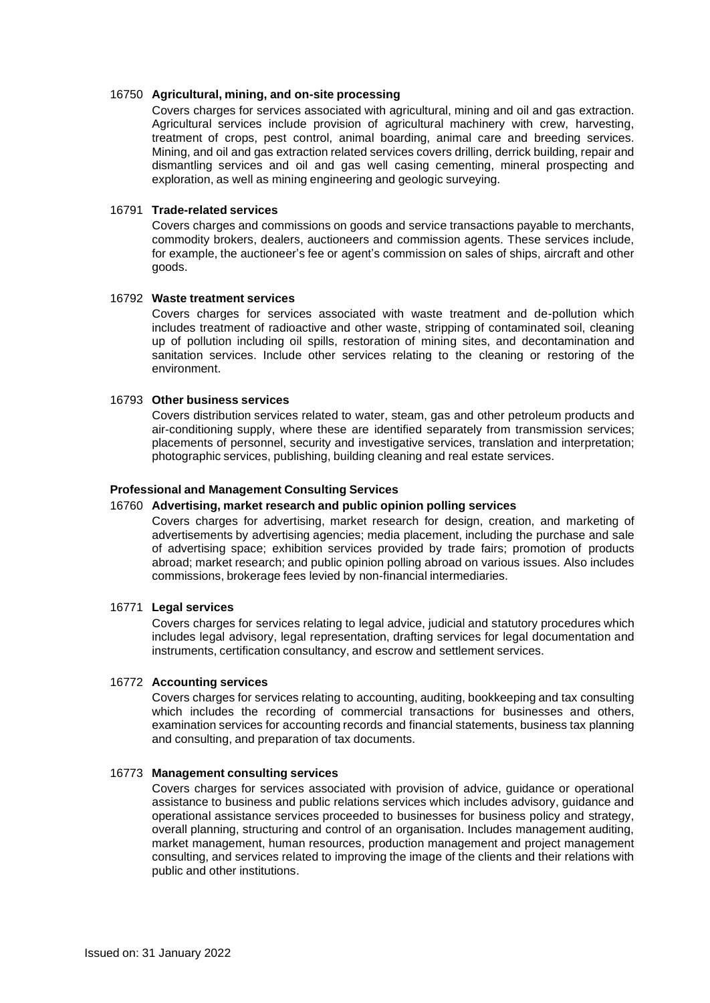#### 16750 **Agricultural, mining, and on-site processing**

Covers charges for services associated with agricultural, mining and oil and gas extraction. Agricultural services include provision of agricultural machinery with crew, harvesting, treatment of crops, pest control, animal boarding, animal care and breeding services. Mining, and oil and gas extraction related services covers drilling, derrick building, repair and dismantling services and oil and gas well casing cementing, mineral prospecting and exploration, as well as mining engineering and geologic surveying.

#### 16791 **Trade-related services**

Covers charges and commissions on goods and service transactions payable to merchants, commodity brokers, dealers, auctioneers and commission agents. These services include, for example, the auctioneer's fee or agent's commission on sales of ships, aircraft and other goods.

#### 16792 **Waste treatment services**

Covers charges for services associated with waste treatment and de-pollution which includes treatment of radioactive and other waste, stripping of contaminated soil, cleaning up of pollution including oil spills, restoration of mining sites, and decontamination and sanitation services. Include other services relating to the cleaning or restoring of the environment.

### 16793 **Other business services**

Covers distribution services related to water, steam, gas and other petroleum products and air-conditioning supply, where these are identified separately from transmission services; placements of personnel, security and investigative services, translation and interpretation; photographic services, publishing, building cleaning and real estate services.

#### **Professional and Management Consulting Services**

#### 16760 **Advertising, market research and public opinion polling services**

Covers charges for advertising, market research for design, creation, and marketing of advertisements by advertising agencies; media placement, including the purchase and sale of advertising space; exhibition services provided by trade fairs; promotion of products abroad; market research; and public opinion polling abroad on various issues. Also includes commissions, brokerage fees levied by non-financial intermediaries.

#### 16771 **Legal services**

Covers charges for services relating to legal advice, judicial and statutory procedures which includes legal advisory, legal representation, drafting services for legal documentation and instruments, certification consultancy, and escrow and settlement services.

#### 16772 **Accounting services**

Covers charges for services relating to accounting, auditing, bookkeeping and tax consulting which includes the recording of commercial transactions for businesses and others, examination services for accounting records and financial statements, business tax planning and consulting, and preparation of tax documents.

#### 16773 **Management consulting services**

Covers charges for services associated with provision of advice, guidance or operational assistance to business and public relations services which includes advisory, guidance and operational assistance services proceeded to businesses for business policy and strategy, overall planning, structuring and control of an organisation. Includes management auditing, market management, human resources, production management and project management consulting, and services related to improving the image of the clients and their relations with public and other institutions.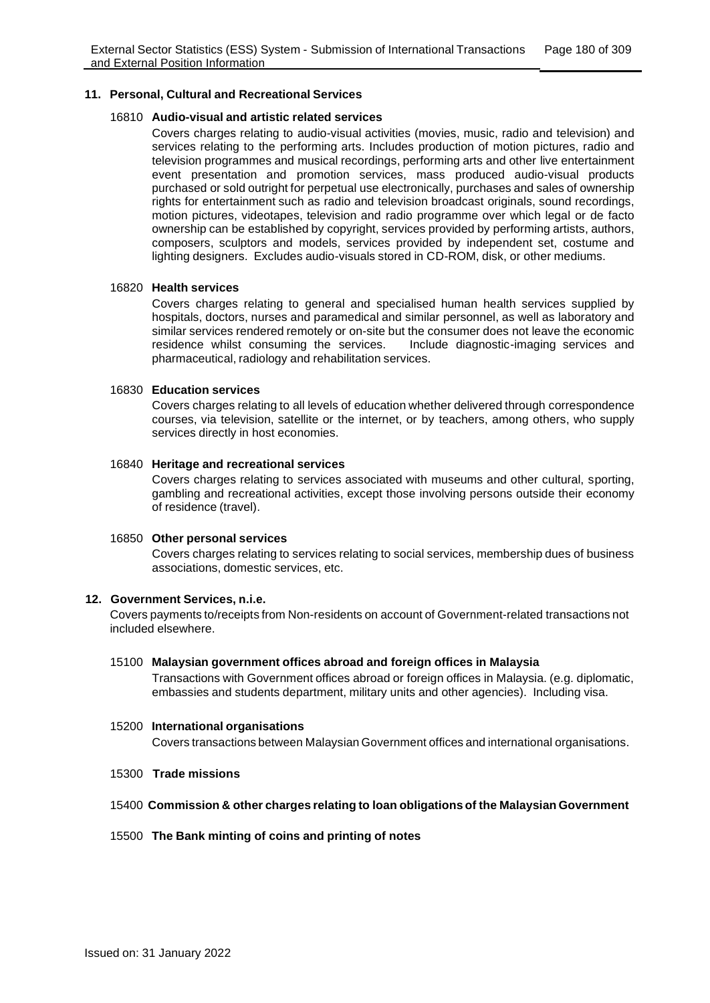#### **11. Personal, Cultural and Recreational Services**

#### 16810 **Audio-visual and artistic related services**

Covers charges relating to audio-visual activities (movies, music, radio and television) and services relating to the performing arts. Includes production of motion pictures, radio and television programmes and musical recordings, performing arts and other live entertainment event presentation and promotion services, mass produced audio-visual products purchased or sold outright for perpetual use electronically, purchases and sales of ownership rights for entertainment such as radio and television broadcast originals, sound recordings, motion pictures, videotapes, television and radio programme over which legal or de facto ownership can be established by copyright, services provided by performing artists, authors, composers, sculptors and models, services provided by independent set, costume and lighting designers. Excludes audio-visuals stored in CD-ROM, disk, or other mediums.

## 16820 **Health services**

Covers charges relating to general and specialised human health services supplied by hospitals, doctors, nurses and paramedical and similar personnel, as well as laboratory and similar services rendered remotely or on-site but the consumer does not leave the economic residence whilst consuming the services. Include diagnostic-imaging services and pharmaceutical, radiology and rehabilitation services.

## 16830 **Education services**

Covers charges relating to all levels of education whether delivered through correspondence courses, via television, satellite or the internet, or by teachers, among others, who supply services directly in host economies.

## 16840 **Heritage and recreational services**

Covers charges relating to services associated with museums and other cultural, sporting, gambling and recreational activities, except those involving persons outside their economy of residence (travel).

#### 16850 **Other personal services**

Covers charges relating to services relating to social services, membership dues of business associations, domestic services, etc.

## **12. Government Services, n.i.e.**

Covers payments to/receipts from Non-residents on account of Government-related transactions not included elsewhere.

#### 15100 **Malaysian government offices abroad and foreign offices in Malaysia**

Transactions with Government offices abroad or foreign offices in Malaysia. (e.g. diplomatic, embassies and students department, military units and other agencies). Including visa.

#### 15200 **International organisations**

Covers transactions between Malaysian Government offices and international organisations.

15300 **Trade missions**

## 15400 **Commission & other charges relating to loan obligations of the Malaysian Government**

#### 15500 **The Bank minting of coins and printing of notes**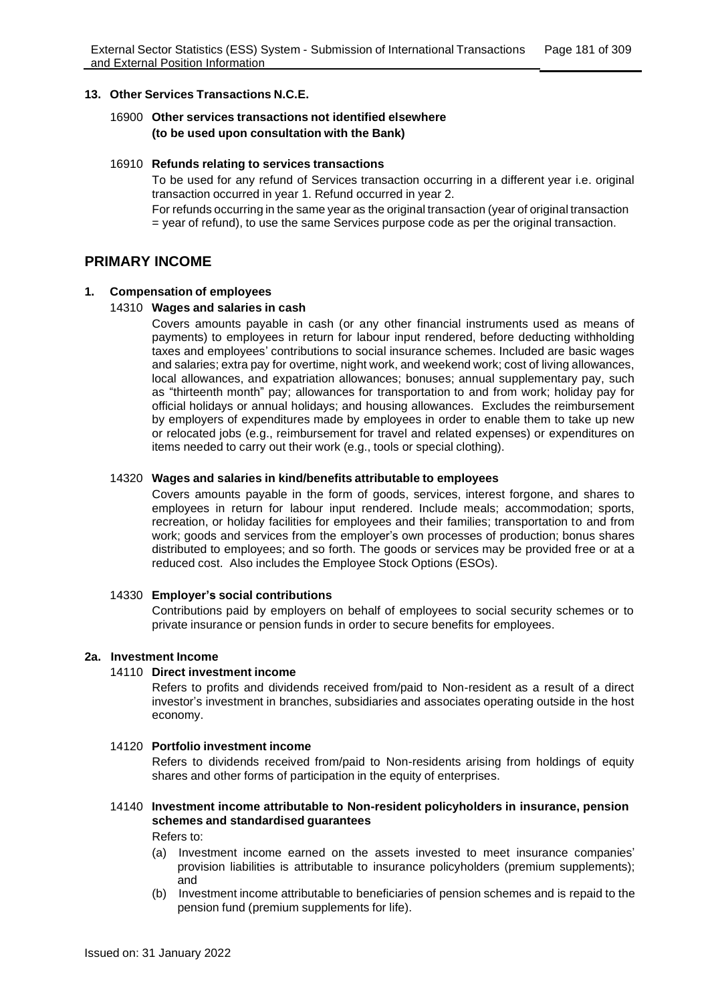#### **13. Other Services Transactions N.C.E.**

## 16900 **Other services transactions not identified elsewhere (to be used upon consultation with the Bank)**

#### 16910 **Refunds relating to services transactions**

To be used for any refund of Services transaction occurring in a different year i.e. original transaction occurred in year 1. Refund occurred in year 2. For refunds occurring in the same year as the original transaction (year of original transaction = year of refund), to use the same Services purpose code as per the original transaction.

## **PRIMARY INCOME**

#### **1. Compensation of employees**

#### 14310 **Wages and salaries in cash**

Covers amounts payable in cash (or any other financial instruments used as means of payments) to employees in return for labour input rendered, before deducting withholding taxes and employees' contributions to social insurance schemes. Included are basic wages and salaries; extra pay for overtime, night work, and weekend work; cost of living allowances, local allowances, and expatriation allowances; bonuses; annual supplementary pay, such as "thirteenth month" pay; allowances for transportation to and from work; holiday pay for official holidays or annual holidays; and housing allowances. Excludes the reimbursement by employers of expenditures made by employees in order to enable them to take up new or relocated jobs (e.g., reimbursement for travel and related expenses) or expenditures on items needed to carry out their work (e.g., tools or special clothing).

#### 14320 **Wages and salaries in kind/benefits attributable to employees**

Covers amounts payable in the form of goods, services, interest forgone, and shares to employees in return for labour input rendered. Include meals; accommodation; sports, recreation, or holiday facilities for employees and their families; transportation to and from work; goods and services from the employer's own processes of production; bonus shares distributed to employees; and so forth. The goods or services may be provided free or at a reduced cost. Also includes the Employee Stock Options (ESOs).

#### 14330 **Employer's social contributions**

Contributions paid by employers on behalf of employees to social security schemes or to private insurance or pension funds in order to secure benefits for employees.

#### **2a. Investment Income**

### 14110 **Direct investment income**

Refers to profits and dividends received from/paid to Non-resident as a result of a direct investor's investment in branches, subsidiaries and associates operating outside in the host economy.

#### 14120 **Portfolio investment income**

Refers to dividends received from/paid to Non-residents arising from holdings of equity shares and other forms of participation in the equity of enterprises.

### 14140 **Investment income attributable to Non-resident policyholders in insurance, pension schemes and standardised guarantees**

Refers to:

- (a) Investment income earned on the assets invested to meet insurance companies' provision liabilities is attributable to insurance policyholders (premium supplements); and
- (b) Investment income attributable to beneficiaries of pension schemes and is repaid to the pension fund (premium supplements for life).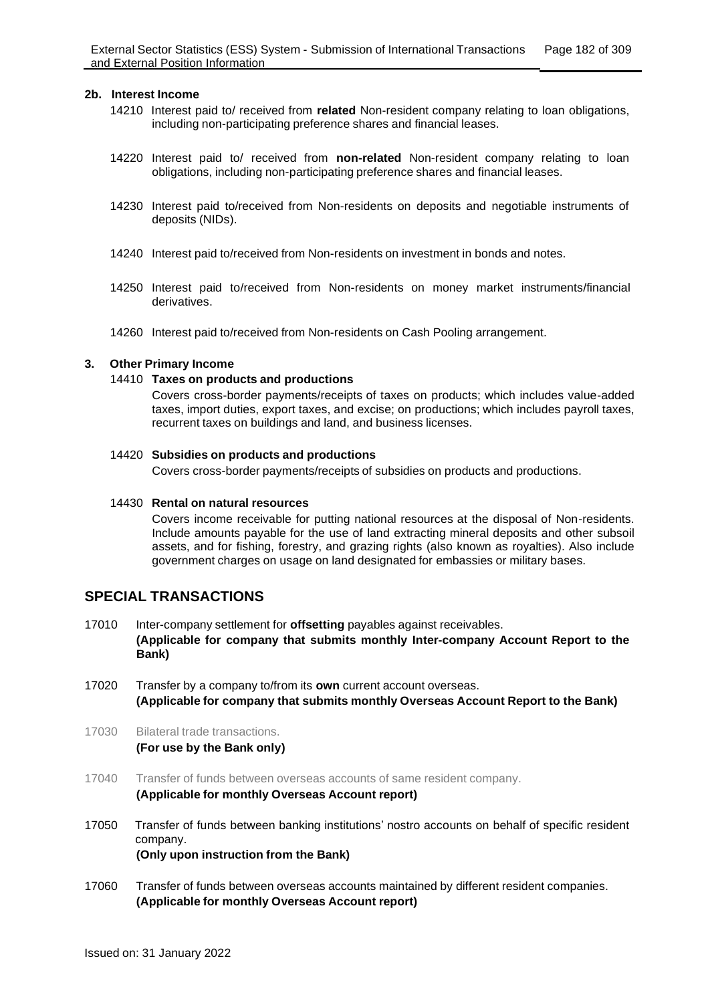#### **2b. Interest Income**

- 14210 Interest paid to/ received from **related** Non-resident company relating to loan obligations, including non-participating preference shares and financial leases.
- 14220 Interest paid to/ received from **non-related** Non-resident company relating to loan obligations, including non-participating preference shares and financial leases.
- 14230 Interest paid to/received from Non-residents on deposits and negotiable instruments of deposits (NIDs).
- 14240 Interest paid to/received from Non-residents on investment in bonds and notes.
- 14250 Interest paid to/received from Non-residents on money market instruments/financial derivatives.
- 14260 Interest paid to/received from Non-residents on Cash Pooling arrangement.

#### **3. Other Primary Income**

#### 14410 **Taxes on products and productions**

Covers cross-border payments/receipts of taxes on products; which includes value-added taxes, import duties, export taxes, and excise; on productions; which includes payroll taxes, recurrent taxes on buildings and land, and business licenses.

#### 14420 **Subsidies on products and productions**

Covers cross-border payments/receipts of subsidies on products and productions.

#### 14430 **Rental on natural resources**

Covers income receivable for putting national resources at the disposal of Non-residents. Include amounts payable for the use of land extracting mineral deposits and other subsoil assets, and for fishing, forestry, and grazing rights (also known as royalties). Also include government charges on usage on land designated for embassies or military bases.

## **SPECIAL TRANSACTIONS**

- 17010 Inter-company settlement for **offsetting** payables against receivables. **(Applicable for company that submits monthly Inter-company Account Report to the Bank)**
- 17020 Transfer by a company to/from its **own** current account overseas. **(Applicable for company that submits monthly Overseas Account Report to the Bank)**
- 17030 Bilateral trade transactions. **(For use by the Bank only)**
- 17040 Transfer of funds between overseas accounts of same resident company. **(Applicable for monthly Overseas Account report)**
- 17050 Transfer of funds between banking institutions' nostro accounts on behalf of specific resident company. **(Only upon instruction from the Bank)**
- 17060 Transfer of funds between overseas accounts maintained by different resident companies. **(Applicable for monthly Overseas Account report)**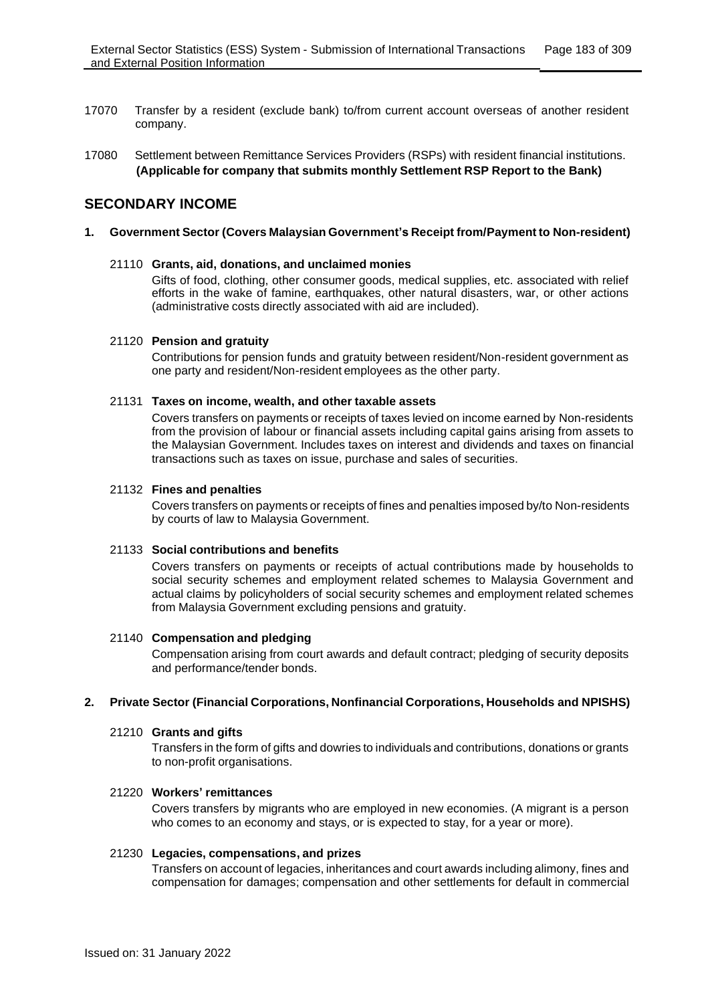- 17070 Transfer by a resident (exclude bank) to/from current account overseas of another resident company.
- 17080 Settlement between Remittance Services Providers (RSPs) with resident financial institutions. **(Applicable for company that submits monthly Settlement RSP Report to the Bank)**

# **SECONDARY INCOME**

## **1. Government Sector (Covers Malaysian Government's Receipt from/Payment to Non-resident)**

## 21110 **Grants, aid, donations, and unclaimed monies**

Gifts of food, clothing, other consumer goods, medical supplies, etc. associated with relief efforts in the wake of famine, earthquakes, other natural disasters, war, or other actions (administrative costs directly associated with aid are included).

## 21120 **Pension and gratuity**

Contributions for pension funds and gratuity between resident/Non-resident government as one party and resident/Non-resident employees as the other party.

### 21131 **Taxes on income, wealth, and other taxable assets**

Covers transfers on payments or receipts of taxes levied on income earned by Non-residents from the provision of labour or financial assets including capital gains arising from assets to the Malaysian Government. Includes taxes on interest and dividends and taxes on financial transactions such as taxes on issue, purchase and sales of securities.

## 21132 **Fines and penalties**

Covers transfers on payments or receipts of fines and penalties imposed by/to Non-residents by courts of law to Malaysia Government.

#### 21133 **Social contributions and benefits**

Covers transfers on payments or receipts of actual contributions made by households to social security schemes and employment related schemes to Malaysia Government and actual claims by policyholders of social security schemes and employment related schemes from Malaysia Government excluding pensions and gratuity.

## 21140 **Compensation and pledging**

Compensation arising from court awards and default contract; pledging of security deposits and performance/tender bonds.

## **2. Private Sector (Financial Corporations, Nonfinancial Corporations, Households and NPISHS)**

#### 21210 **Grants and gifts**

Transfers in the form of gifts and dowries to individuals and contributions, donations or grants to non-profit organisations.

#### 21220 **Workers' remittances**

Covers transfers by migrants who are employed in new economies. (A migrant is a person who comes to an economy and stays, or is expected to stay, for a year or more).

#### 21230 **Legacies, compensations, and prizes**

Transfers on account of legacies, inheritances and court awards including alimony, fines and compensation for damages; compensation and other settlements for default in commercial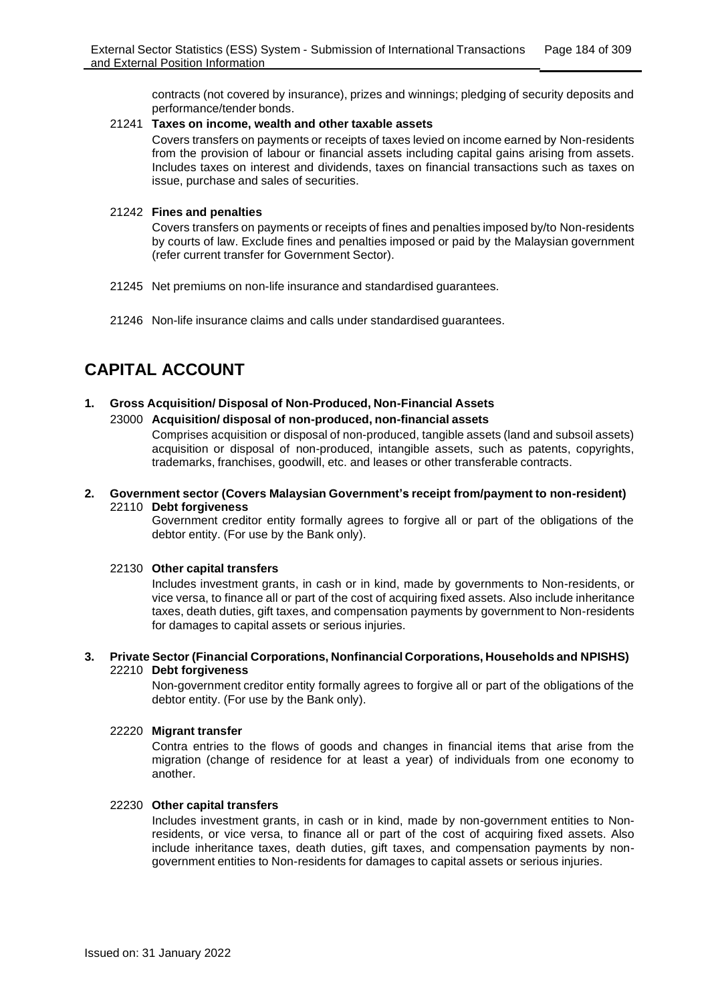contracts (not covered by insurance), prizes and winnings; pledging of security deposits and performance/tender bonds.

#### 21241 **Taxes on income, wealth and other taxable assets**

Covers transfers on payments or receipts of taxes levied on income earned by Non-residents from the provision of labour or financial assets including capital gains arising from assets. Includes taxes on interest and dividends, taxes on financial transactions such as taxes on issue, purchase and sales of securities.

#### 21242 **Fines and penalties**

Covers transfers on payments or receipts of fines and penalties imposed by/to Non-residents by courts of law. Exclude fines and penalties imposed or paid by the Malaysian government (refer current transfer for Government Sector).

- 21245 Net premiums on non-life insurance and standardised guarantees.
- 21246 Non-life insurance claims and calls under standardised guarantees.

# **CAPITAL ACCOUNT**

## **1. Gross Acquisition/ Disposal of Non-Produced, Non-Financial Assets** 23000 **Acquisition/ disposal of non-produced, non-financial assets**

Comprises acquisition or disposal of non-produced, tangible assets (land and subsoil assets) acquisition or disposal of non-produced, intangible assets, such as patents, copyrights, trademarks, franchises, goodwill, etc. and leases or other transferable contracts.

#### **2. Government sector (Covers Malaysian Government's receipt from/payment to non-resident)** 22110 **Debt forgiveness**

Government creditor entity formally agrees to forgive all or part of the obligations of the debtor entity. (For use by the Bank only).

## 22130 **Other capital transfers**

Includes investment grants, in cash or in kind, made by governments to Non-residents, or vice versa, to finance all or part of the cost of acquiring fixed assets. Also include inheritance taxes, death duties, gift taxes, and compensation payments by government to Non-residents for damages to capital assets or serious injuries.

#### **3. Private Sector (Financial Corporations, Nonfinancial Corporations, Households and NPISHS)** 22210 **Debt forgiveness**

Non-government creditor entity formally agrees to forgive all or part of the obligations of the debtor entity. (For use by the Bank only).

## 22220 **Migrant transfer**

Contra entries to the flows of goods and changes in financial items that arise from the migration (change of residence for at least a year) of individuals from one economy to another.

#### 22230 **Other capital transfers**

Includes investment grants, in cash or in kind, made by non-government entities to Nonresidents, or vice versa, to finance all or part of the cost of acquiring fixed assets. Also include inheritance taxes, death duties, gift taxes, and compensation payments by nongovernment entities to Non-residents for damages to capital assets or serious injuries.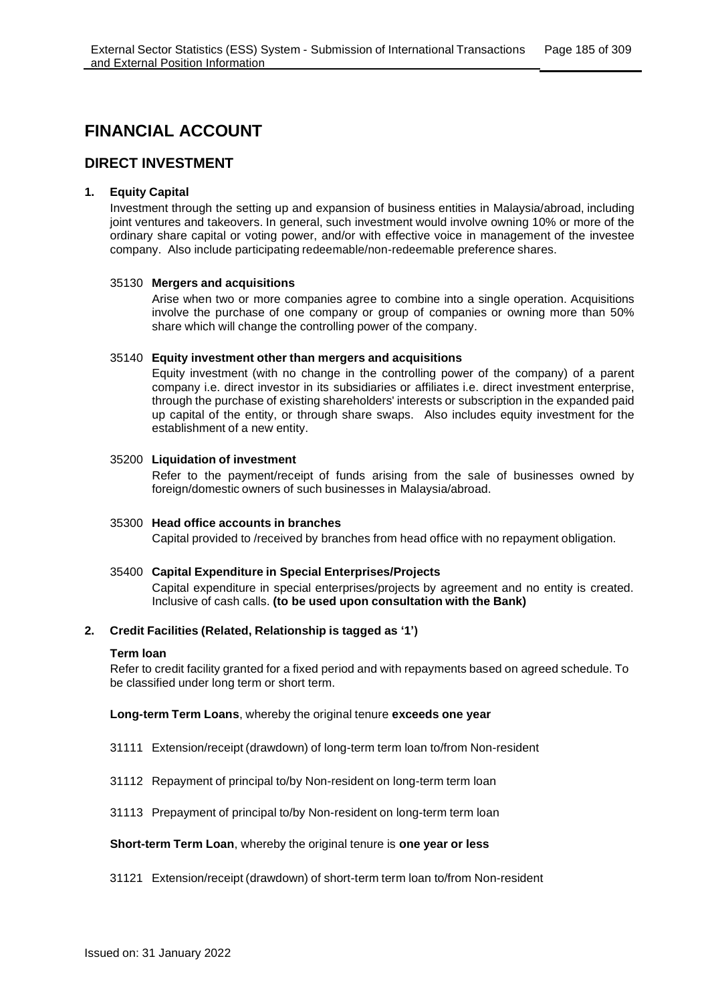# **FINANCIAL ACCOUNT**

# **DIRECT INVESTMENT**

## **1. Equity Capital**

Investment through the setting up and expansion of business entities in Malaysia/abroad, including joint ventures and takeovers. In general, such investment would involve owning 10% or more of the ordinary share capital or voting power, and/or with effective voice in management of the investee company. Also include participating redeemable/non-redeemable preference shares.

#### 35130 **Mergers and acquisitions**

Arise when two or more companies agree to combine into a single operation. Acquisitions involve the purchase of one company or group of companies or owning more than 50% share which will change the controlling power of the company.

## 35140 **Equity investment other than mergers and acquisitions**

Equity investment (with no change in the controlling power of the company) of a parent company i.e. direct investor in its subsidiaries or affiliates i.e. direct investment enterprise, through the purchase of existing shareholders' interests or subscription in the expanded paid up capital of the entity, or through share swaps. Also includes equity investment for the establishment of a new entity.

## 35200 **Liquidation of investment**

Refer to the payment/receipt of funds arising from the sale of businesses owned by foreign/domestic owners of such businesses in Malaysia/abroad.

#### 35300 **Head office accounts in branches**

Capital provided to /received by branches from head office with no repayment obligation.

## 35400 **Capital Expenditure in Special Enterprises/Projects**

Capital expenditure in special enterprises/projects by agreement and no entity is created. Inclusive of cash calls. **(to be used upon consultation with the Bank)**

## **2. Credit Facilities (Related, Relationship is tagged as '1')**

#### **Term loan**

Refer to credit facility granted for a fixed period and with repayments based on agreed schedule. To be classified under long term or short term.

#### **Long-term Term Loans**, whereby the original tenure **exceeds one year**

- 31111 Extension/receipt (drawdown) of long-term term loan to/from Non-resident
- 31112 Repayment of principal to/by Non-resident on long-term term loan
- 31113 Prepayment of principal to/by Non-resident on long-term term loan

#### **Short-term Term Loan**, whereby the original tenure is **one year or less**

31121 Extension/receipt (drawdown) of short-term term loan to/from Non-resident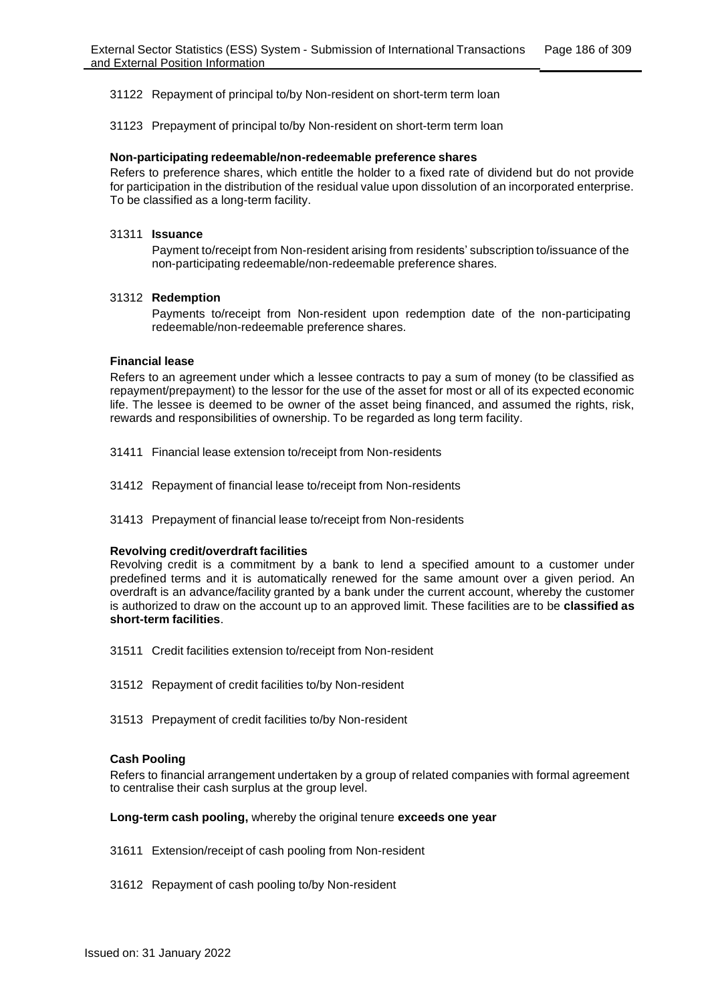31122 Repayment of principal to/by Non-resident on short-term term loan

31123 Prepayment of principal to/by Non-resident on short-term term loan

#### **Non-participating redeemable/non-redeemable preference shares**

Refers to preference shares, which entitle the holder to a fixed rate of dividend but do not provide for participation in the distribution of the residual value upon dissolution of an incorporated enterprise. To be classified as a long-term facility.

#### 31311 **Issuance**

Payment to/receipt from Non-resident arising from residents' subscription to/issuance of the non-participating redeemable/non-redeemable preference shares.

## 31312 **Redemption**

Payments to/receipt from Non-resident upon redemption date of the non-participating redeemable/non-redeemable preference shares.

#### **Financial lease**

Refers to an agreement under which a lessee contracts to pay a sum of money (to be classified as repayment/prepayment) to the lessor for the use of the asset for most or all of its expected economic life. The lessee is deemed to be owner of the asset being financed, and assumed the rights, risk, rewards and responsibilities of ownership. To be regarded as long term facility.

- 31411 Financial lease extension to/receipt from Non-residents
- 31412 Repayment of financial lease to/receipt from Non-residents
- 31413 Prepayment of financial lease to/receipt from Non-residents

#### **Revolving credit/overdraft facilities**

Revolving credit is a commitment by a bank to lend a specified amount to a customer under predefined terms and it is automatically renewed for the same amount over a given period. An overdraft is an advance/facility granted by a bank under the current account, whereby the customer is authorized to draw on the account up to an approved limit. These facilities are to be **classified as short-term facilities**.

- 31511 Credit facilities extension to/receipt from Non-resident
- 31512 Repayment of credit facilities to/by Non-resident
- 31513 Prepayment of credit facilities to/by Non-resident

#### **Cash Pooling**

Refers to financial arrangement undertaken by a group of related companies with formal agreement to centralise their cash surplus at the group level.

#### **Long-term cash pooling,** whereby the original tenure **exceeds one year**

- 31611 Extension/receipt of cash pooling from Non-resident
- 31612 Repayment of cash pooling to/by Non-resident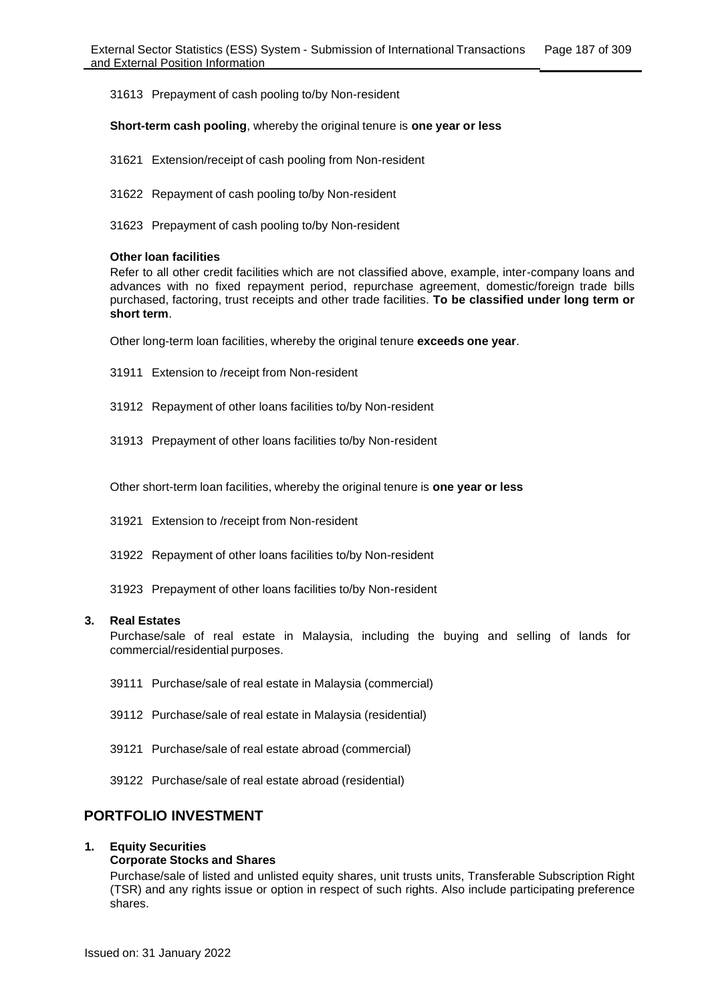31613 Prepayment of cash pooling to/by Non-resident

**Short-term cash pooling**, whereby the original tenure is **one year or less**

- 31621 Extension/receipt of cash pooling from Non-resident
- 31622 Repayment of cash pooling to/by Non-resident
- 31623 Prepayment of cash pooling to/by Non-resident

#### **Other loan facilities**

Refer to all other credit facilities which are not classified above, example, inter-company loans and advances with no fixed repayment period, repurchase agreement, domestic/foreign trade bills purchased, factoring, trust receipts and other trade facilities. **To be classified under long term or short term**.

Other long-term loan facilities, whereby the original tenure **exceeds one year**.

- 31911 Extension to /receipt from Non-resident
- 31912 Repayment of other loans facilities to/by Non-resident
- 31913 Prepayment of other loans facilities to/by Non-resident

Other short-term loan facilities, whereby the original tenure is **one year or less**

- 31921 Extension to /receipt from Non-resident
- 31922 Repayment of other loans facilities to/by Non-resident
- 31923 Prepayment of other loans facilities to/by Non-resident

#### **3. Real Estates**

Purchase/sale of real estate in Malaysia, including the buying and selling of lands for commercial/residential purposes.

- 39111 Purchase/sale of real estate in Malaysia (commercial)
- 39112 Purchase/sale of real estate in Malaysia (residential)
- 39121 Purchase/sale of real estate abroad (commercial)
- 39122 Purchase/sale of real estate abroad (residential)

## **PORTFOLIO INVESTMENT**

#### **1. Equity Securities**

#### **Corporate Stocks and Shares**

Purchase/sale of listed and unlisted equity shares, unit trusts units, Transferable Subscription Right (TSR) and any rights issue or option in respect of such rights. Also include participating preference shares.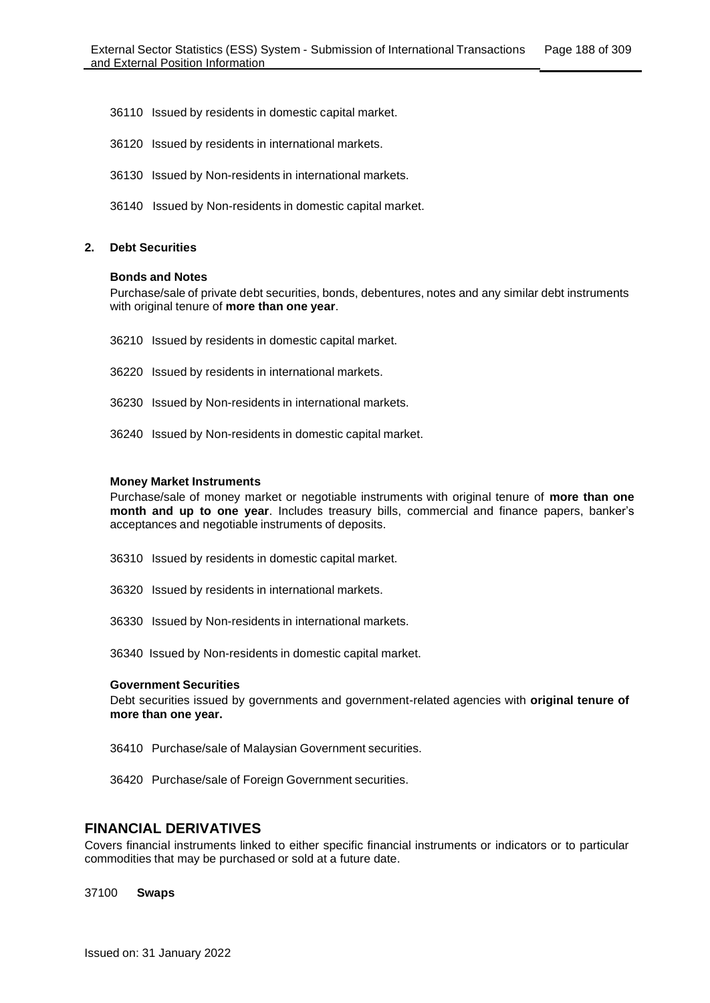- 36110 Issued by residents in domestic capital market.
- 36120 Issued by residents in international markets.
- 36130 Issued by Non-residents in international markets.
- 36140 Issued by Non-residents in domestic capital market.

#### **2. Debt Securities**

#### **Bonds and Notes**

Purchase/sale of private debt securities, bonds, debentures, notes and any similar debt instruments with original tenure of **more than one year**.

- 36210 Issued by residents in domestic capital market.
- 36220 Issued by residents in international markets.
- 36230 Issued by Non-residents in international markets.
- 36240 Issued by Non-residents in domestic capital market.

#### **Money Market Instruments**

Purchase/sale of money market or negotiable instruments with original tenure of **more than one month and up to one year**. Includes treasury bills, commercial and finance papers, banker's acceptances and negotiable instruments of deposits.

- 36310 Issued by residents in domestic capital market.
- 36320 Issued by residents in international markets.
- 36330 Issued by Non-residents in international markets.
- 36340 Issued by Non-residents in domestic capital market.

#### **Government Securities**

Debt securities issued by governments and government-related agencies with **original tenure of more than one year.**

- 36410 Purchase/sale of Malaysian Government securities.
- 36420 Purchase/sale of Foreign Government securities.

## **FINANCIAL DERIVATIVES**

Covers financial instruments linked to either specific financial instruments or indicators or to particular commodities that may be purchased or sold at a future date.

37100 **Swaps**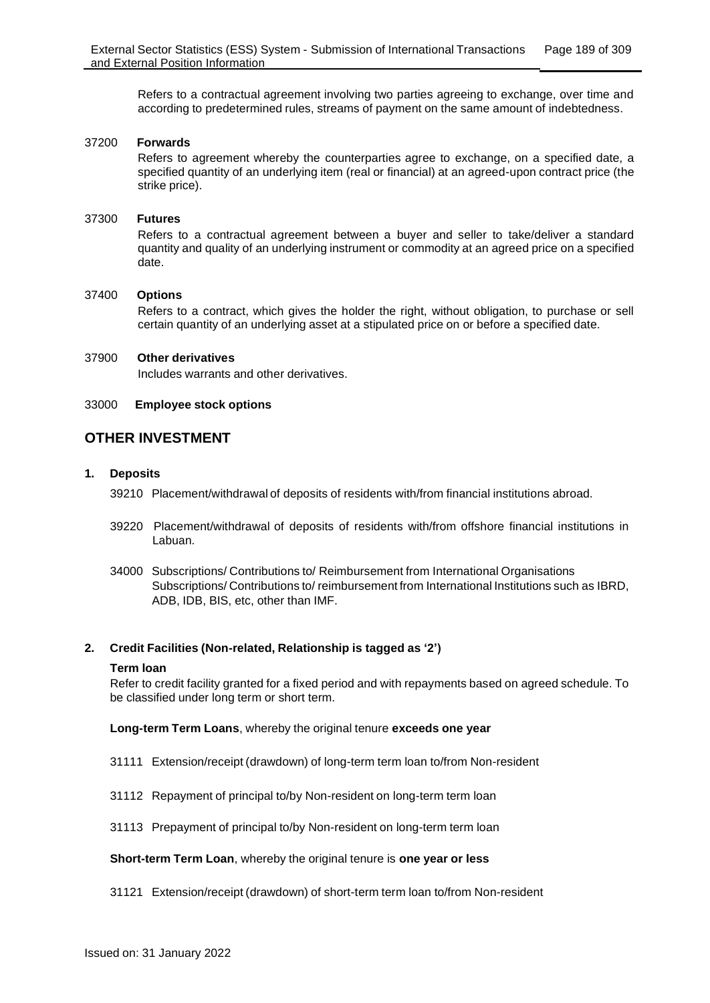Refers to a contractual agreement involving two parties agreeing to exchange, over time and according to predetermined rules, streams of payment on the same amount of indebtedness.

### 37200 **Forwards**

Refers to agreement whereby the counterparties agree to exchange, on a specified date, a specified quantity of an underlying item (real or financial) at an agreed-upon contract price (the strike price).

### 37300 **Futures**

Refers to a contractual agreement between a buyer and seller to take/deliver a standard quantity and quality of an underlying instrument or commodity at an agreed price on a specified date.

## 37400 **Options**

Refers to a contract, which gives the holder the right, without obligation, to purchase or sell certain quantity of an underlying asset at a stipulated price on or before a specified date.

#### 37900 **Other derivatives**

Includes warrants and other derivatives.

## 33000 **Employee stock options**

# **OTHER INVESTMENT**

## **1. Deposits**

39210 Placement/withdrawal of deposits of residents with/from financial institutions abroad.

- 39220 Placement/withdrawal of deposits of residents with/from offshore financial institutions in Labuan.
- 34000 Subscriptions/ Contributions to/ Reimbursement from International Organisations Subscriptions/ Contributions to/ reimbursement from International Institutions such as IBRD, ADB, IDB, BIS, etc, other than IMF.

#### **2. Credit Facilities (Non-related, Relationship is tagged as '2')**

#### **Term loan**

Refer to credit facility granted for a fixed period and with repayments based on agreed schedule. To be classified under long term or short term.

#### **Long-term Term Loans**, whereby the original tenure **exceeds one year**

- 31111 Extension/receipt (drawdown) of long-term term loan to/from Non-resident
- 31112 Repayment of principal to/by Non-resident on long-term term loan
- 31113 Prepayment of principal to/by Non-resident on long-term term loan

#### **Short-term Term Loan**, whereby the original tenure is **one year or less**

31121 Extension/receipt (drawdown) of short-term term loan to/from Non-resident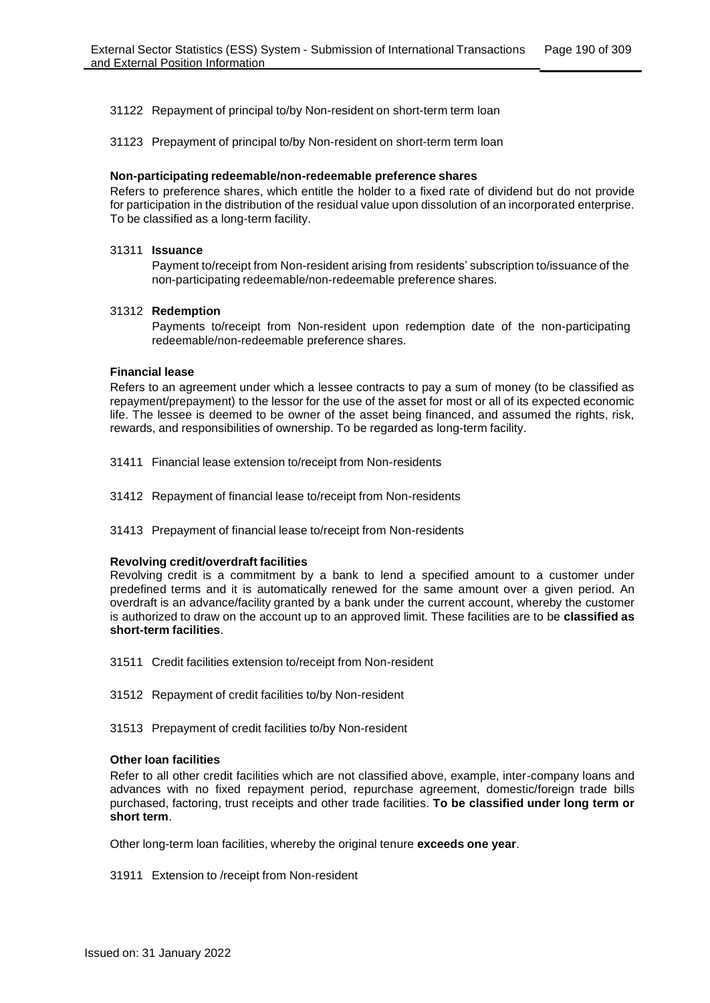31122 Repayment of principal to/by Non-resident on short-term term loan

31123 Prepayment of principal to/by Non-resident on short-term term loan

#### **Non-participating redeemable/non-redeemable preference shares**

Refers to preference shares, which entitle the holder to a fixed rate of dividend but do not provide for participation in the distribution of the residual value upon dissolution of an incorporated enterprise. To be classified as a long-term facility.

#### 31311 **Issuance**

Payment to/receipt from Non-resident arising from residents' subscription to/issuance of the non-participating redeemable/non-redeemable preference shares.

#### 31312 **Redemption**

Payments to/receipt from Non-resident upon redemption date of the non-participating redeemable/non-redeemable preference shares.

#### **Financial lease**

Refers to an agreement under which a lessee contracts to pay a sum of money (to be classified as repayment/prepayment) to the lessor for the use of the asset for most or all of its expected economic life. The lessee is deemed to be owner of the asset being financed, and assumed the rights, risk, rewards, and responsibilities of ownership. To be regarded as long-term facility.

- 31411 Financial lease extension to/receipt from Non-residents
- 31412 Repayment of financial lease to/receipt from Non-residents
- 31413 Prepayment of financial lease to/receipt from Non-residents

#### **Revolving credit/overdraft facilities**

Revolving credit is a commitment by a bank to lend a specified amount to a customer under predefined terms and it is automatically renewed for the same amount over a given period. An overdraft is an advance/facility granted by a bank under the current account, whereby the customer is authorized to draw on the account up to an approved limit. These facilities are to be **classified as short-term facilities**.

- 31511 Credit facilities extension to/receipt from Non-resident
- 31512 Repayment of credit facilities to/by Non-resident

31513 Prepayment of credit facilities to/by Non-resident

#### **Other loan facilities**

Refer to all other credit facilities which are not classified above, example, inter-company loans and advances with no fixed repayment period, repurchase agreement, domestic/foreign trade bills purchased, factoring, trust receipts and other trade facilities. **To be classified under long term or short term**.

Other long-term loan facilities, whereby the original tenure **exceeds one year**.

31911 Extension to /receipt from Non-resident